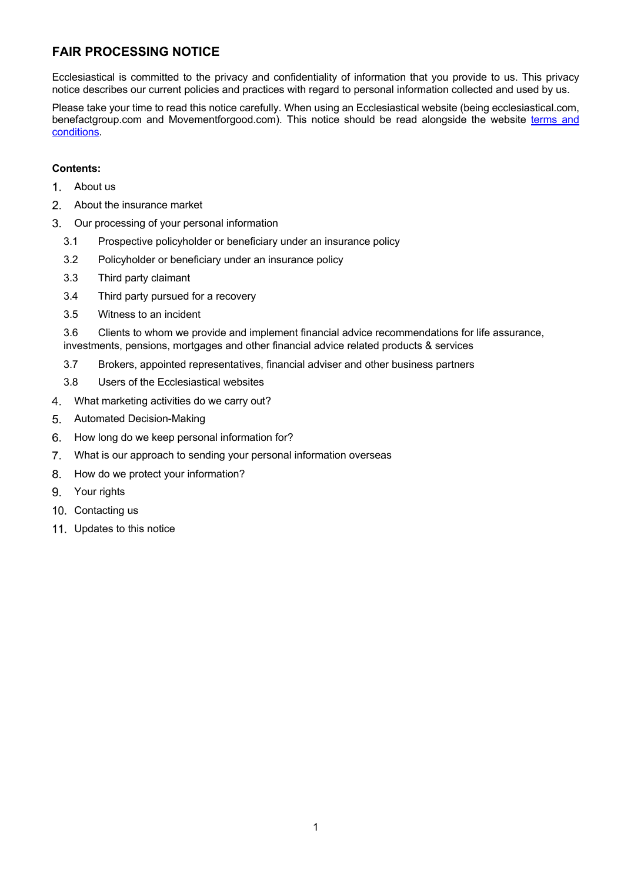# **FAIR PROCESSING NOTICE**

Ecclesiastical is committed to the privacy and confidentiality of information that you provide to us. This privacy notice describes our current policies and practices with regard to personal information collected and used by us.

Please take your time to read this notice carefully. When using an Ecclesiastical website (being ecclesiastical.com, benefactgroup.com and Movementforgood.com). This notice should be read alongside the website terms and conditions.

# **Contents:**

- $\mathbf{1}$ . About us
- $2.$ About the insurance market
- $3<sub>1</sub>$ Our processing of your personal information
	- 3.1 Prospective policyholder or beneficiary under an insurance policy
	- 3.2 Policyholder or beneficiary under an insurance policy
	- 3.3 Third party claimant
	- 3.4 Third party pursued for a recovery
	- 3.5 Witness to an incident

3.6 Clients to whom we provide and implement financial advice recommendations for life assurance, investments, pensions, mortgages and other financial advice related products & services

- 3.7 Brokers, appointed representatives, financial adviser and other business partners
- 3.8 Users of the Ecclesiastical websites
- $\overline{4}$ What marketing activities do we carry out?
- 5. Automated Decision-Making
- 6. How long do we keep personal information for?
- $7<sub>1</sub>$ What is our approach to sending your personal information overseas
- 8. How do we protect your information?
- 9. Your rights
- 10. Contacting us
- 11. Updates to this notice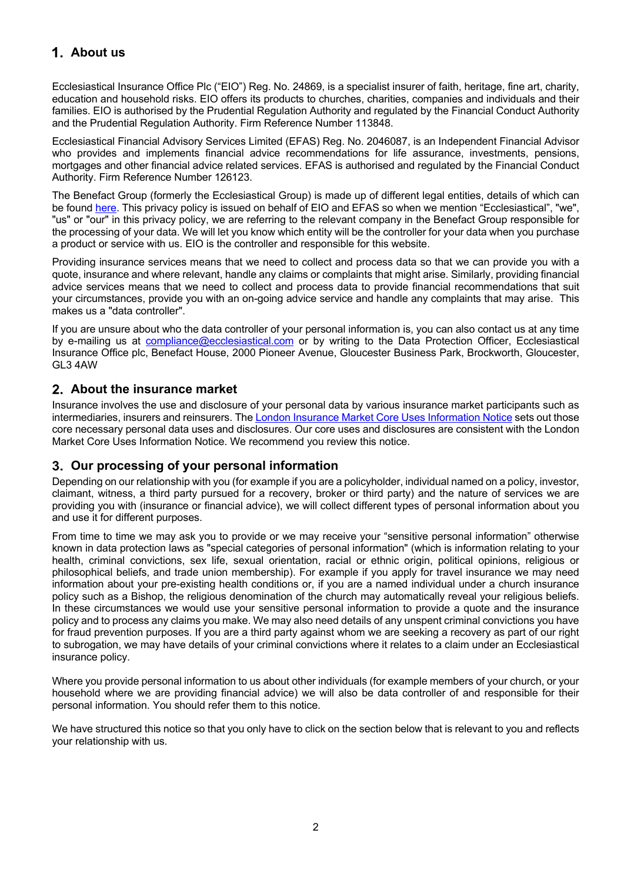# **About us**

Ecclesiastical Insurance Office Plc ("EIO") Reg. No. 24869, is a specialist insurer of faith, heritage, fine art, charity, education and household risks. EIO offers its products to churches, charities, companies and individuals and their families. EIO is authorised by the Prudential Regulation Authority and regulated by the Financial Conduct Authority and the Prudential Regulation Authority. Firm Reference Number 113848.

Ecclesiastical Financial Advisory Services Limited (EFAS) Reg. No. 2046087, is an Independent Financial Advisor who provides and implements financial advice recommendations for life assurance, investments, pensions, mortgages and other financial advice related services. EFAS is authorised and regulated by the Financial Conduct Authority. Firm Reference Number 126123.

The Benefact Group (formerly the Ecclesiastical Group) is made up of different legal entities, details of which can be found here. This privacy policy is issued on behalf of EIO and EFAS so when we mention "Ecclesiastical", "we", "us" or "our" in this privacy policy, we are referring to the relevant company in the Benefact Group responsible for the processing of your data. We will let you know which entity will be the controller for your data when you purchase a product or service with us. EIO is the controller and responsible for this website.

Providing insurance services means that we need to collect and process data so that we can provide you with a quote, insurance and where relevant, handle any claims or complaints that might arise. Similarly, providing financial advice services means that we need to collect and process data to provide financial recommendations that suit your circumstances, provide you with an on-going advice service and handle any complaints that may arise. This makes us a "data controller".

If you are unsure about who the data controller of your personal information is, you can also contact us at any time by e-mailing us at compliance@ecclesiastical.com or by writing to the Data Protection Officer, Ecclesiastical Insurance Office plc, Benefact House, 2000 Pioneer Avenue, Gloucester Business Park, Brockworth, Gloucester, GL3 4AW

# **About the insurance market**

Insurance involves the use and disclosure of your personal data by various insurance market participants such as intermediaries, insurers and reinsurers. Th[e London Insurance Market Core Uses Information Notice](https://lmg.london/wp-content/uploads/2019/07/LMA-Insurance-Market-Information-Uses-Notice-post-enactment-31-05-2018.pdf) sets out those core necessary personal data uses and disclosures. Our core uses and disclosures are consistent with the London Market Core Uses Information Notice. We recommend you review this notice.

# **Our processing of your personal information**

Depending on our relationship with you (for example if you are a policyholder, individual named on a policy, investor, claimant, witness, a third party pursued for a recovery, broker or third party) and the nature of services we are providing you with (insurance or financial advice), we will collect different types of personal information about you and use it for different purposes.

From time to time we may ask you to provide or we may receive your "sensitive personal information" otherwise known in data protection laws as "special categories of personal information" (which is information relating to your health, criminal convictions, sex life, sexual orientation, racial or ethnic origin, political opinions, religious or philosophical beliefs, and trade union membership). For example if you apply for travel insurance we may need information about your pre-existing health conditions or, if you are a named individual under a church insurance policy such as a Bishop, the religious denomination of the church may automatically reveal your religious beliefs. In these circumstances we would use your sensitive personal information to provide a quote and the insurance policy and to process any claims you make. We may also need details of any unspent criminal convictions you have for fraud prevention purposes. If you are a third party against whom we are seeking a recovery as part of our right to subrogation, we may have details of your criminal convictions where it relates to a claim under an Ecclesiastical insurance policy.

Where you provide personal information to us about other individuals (for example members of your church, or your household where we are providing financial advice) we will also be data controller of and responsible for their personal information. You should refer them to this notice.

We have structured this notice so that you only have to click on the section below that is relevant to you and reflects your relationship with us.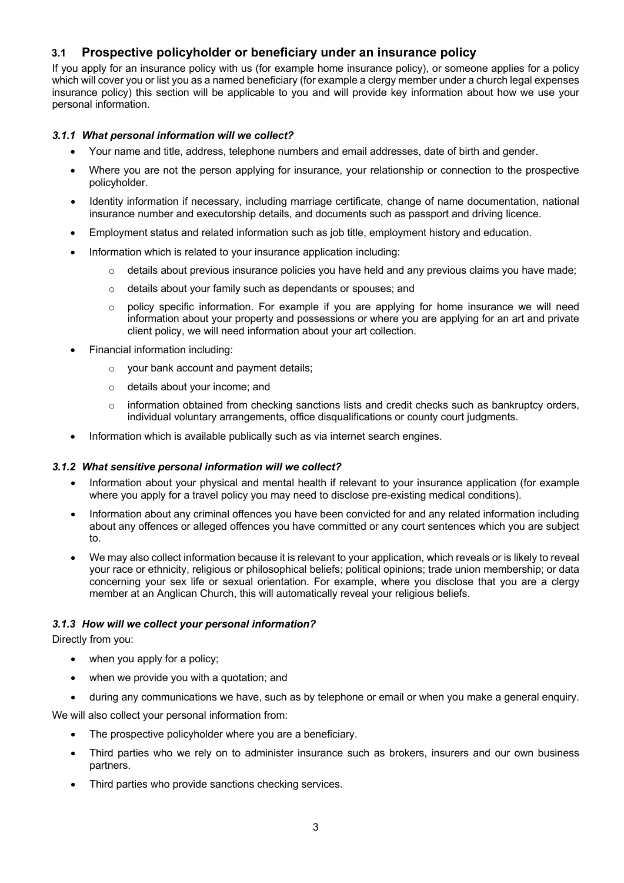# **3.1 Prospective policyholder or beneficiary under an insurance policy**

If you apply for an insurance policy with us (for example home insurance policy), or someone applies for a policy which will cover you or list you as a named beneficiary (for example a clergy member under a church legal expenses insurance policy) this section will be applicable to you and will provide key information about how we use your personal information.

## *3.1.1 What personal information will we collect?*

- Your name and title, address, telephone numbers and email addresses, date of birth and gender.
- Where you are not the person applying for insurance, your relationship or connection to the prospective policyholder.
- Identity information if necessary, including marriage certificate, change of name documentation, national insurance number and executorship details, and documents such as passport and driving licence.
- Employment status and related information such as job title, employment history and education.
- Information which is related to your insurance application including:
	- details about previous insurance policies you have held and any previous claims you have made;
	- o details about your family such as dependants or spouses; and
	- $\circ$  policy specific information. For example if you are applying for home insurance we will need information about your property and possessions or where you are applying for an art and private client policy, we will need information about your art collection.
- Financial information including:
	- o your bank account and payment details;
	- o details about your income; and
	- $\circ$  information obtained from checking sanctions lists and credit checks such as bankruptcy orders, individual voluntary arrangements, office disqualifications or county court judgments.
- Information which is available publically such as via internet search engines.

## *3.1.2 What sensitive personal information will we collect?*

- Information about your physical and mental health if relevant to your insurance application (for example where you apply for a travel policy you may need to disclose pre-existing medical conditions).
- Information about any criminal offences you have been convicted for and any related information including about any offences or alleged offences you have committed or any court sentences which you are subject to.
- We may also collect information because it is relevant to your application, which reveals or is likely to reveal your race or ethnicity, religious or philosophical beliefs; political opinions; trade union membership; or data concerning your sex life or sexual orientation. For example, where you disclose that you are a clergy member at an Anglican Church, this will automatically reveal your religious beliefs.

## *3.1.3 How will we collect your personal information?*

Directly from you:

- when you apply for a policy;
- when we provide you with a quotation; and
- during any communications we have, such as by telephone or email or when you make a general enquiry.

We will also collect your personal information from:

- The prospective policyholder where you are a beneficiary.
- Third parties who we rely on to administer insurance such as brokers, insurers and our own business partners.
- Third parties who provide sanctions checking services.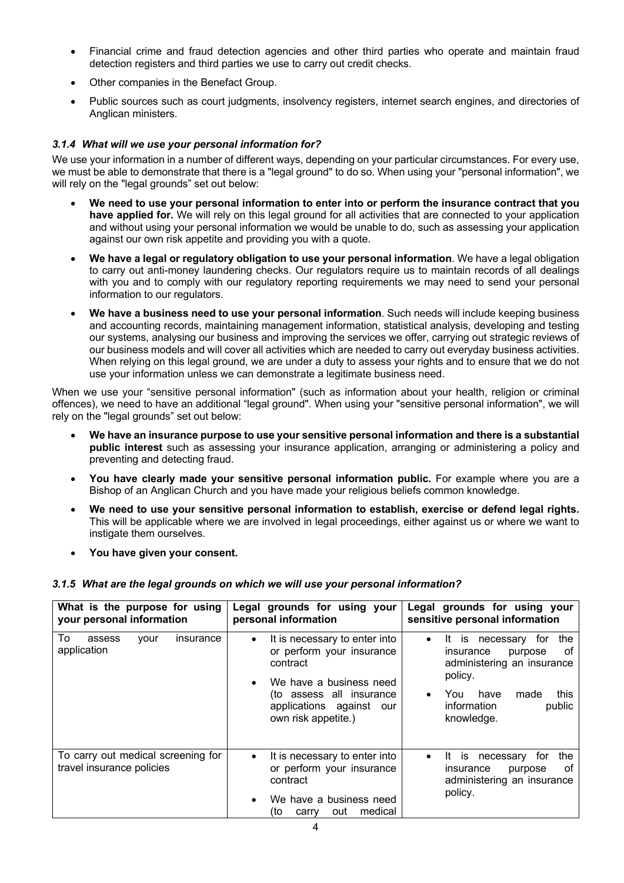- Financial crime and fraud detection agencies and other third parties who operate and maintain fraud detection registers and third parties we use to carry out credit checks.
- Other companies in the Benefact Group.
- Public sources such as court judgments, insolvency registers, internet search engines, and directories of Anglican ministers.

## *3.1.4 What will we use your personal information for?*

We use your information in a number of different ways, depending on your particular circumstances. For every use, we must be able to demonstrate that there is a "legal ground" to do so. When using your "personal information", we will rely on the "legal grounds" set out below:

- **We need to use your personal information to enter into or perform the insurance contract that you have applied for.** We will rely on this legal ground for all activities that are connected to your application and without using your personal information we would be unable to do, such as assessing your application against our own risk appetite and providing you with a quote.
- **We have a legal or regulatory obligation to use your personal information**. We have a legal obligation to carry out anti-money laundering checks. Our regulators require us to maintain records of all dealings with you and to comply with our regulatory reporting requirements we may need to send your personal information to our regulators.
- **We have a business need to use your personal information**. Such needs will include keeping business and accounting records, maintaining management information, statistical analysis, developing and testing our systems, analysing our business and improving the services we offer, carrying out strategic reviews of our business models and will cover all activities which are needed to carry out everyday business activities. When relying on this legal ground, we are under a duty to assess your rights and to ensure that we do not use your information unless we can demonstrate a legitimate business need.

When we use your "sensitive personal information" (such as information about your health, religion or criminal offences), we need to have an additional "legal ground". When using your "sensitive personal information", we will rely on the "legal grounds" set out below:

- **We have an insurance purpose to use your sensitive personal information and there is a substantial public interest** such as assessing your insurance application, arranging or administering a policy and preventing and detecting fraud.
- **You have clearly made your sensitive personal information public.** For example where you are a Bishop of an Anglican Church and you have made your religious beliefs common knowledge.
- **We need to use your sensitive personal information to establish, exercise or defend legal rights.** This will be applicable where we are involved in legal proceedings, either against us or where we want to instigate them ourselves.
- **You have given your consent.**

## *3.1.5 What are the legal grounds on which we will use your personal information?*

| What is the purpose for using<br>your personal information      | Legal grounds for using your<br>personal information                                                                                                                                                       | Legal grounds for using your<br>sensitive personal information                                                                                                                                          |
|-----------------------------------------------------------------|------------------------------------------------------------------------------------------------------------------------------------------------------------------------------------------------------------|---------------------------------------------------------------------------------------------------------------------------------------------------------------------------------------------------------|
| To<br>assess<br>insurance<br>vour<br>application                | It is necessary to enter into<br>$\bullet$<br>or perform your insurance<br>contract<br>We have a business need<br>$\bullet$<br>(to assess all insurance<br>applications against our<br>own risk appetite.) | for<br>the<br>It is<br>necessary<br>$\bullet$<br>insurance<br>οf<br>purpose<br>administering an insurance<br>policy.<br>this<br>You<br>have<br>made<br>$\bullet$<br>public<br>information<br>knowledge. |
| To carry out medical screening for<br>travel insurance policies | It is necessary to enter into<br>$\bullet$<br>or perform your insurance<br>contract<br>We have a business need<br>$\bullet$<br>medical<br>(to<br>out<br>carry                                              | the<br>It is<br>necessary<br>tor<br>٠<br>οf<br>insurance<br>purpose<br>administering an insurance<br>policy.                                                                                            |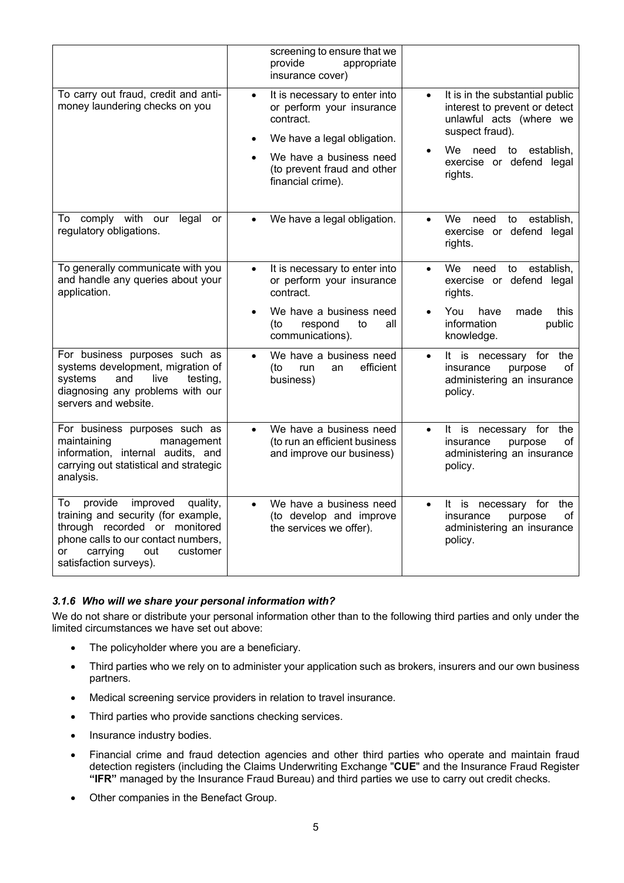|                                                                                                                                                                                                                     | screening to ensure that we<br>provide<br>appropriate<br>insurance cover)                                                                                                                          |                                                                                                                                                                                                   |
|---------------------------------------------------------------------------------------------------------------------------------------------------------------------------------------------------------------------|----------------------------------------------------------------------------------------------------------------------------------------------------------------------------------------------------|---------------------------------------------------------------------------------------------------------------------------------------------------------------------------------------------------|
| To carry out fraud, credit and anti-<br>money laundering checks on you                                                                                                                                              | It is necessary to enter into<br>$\bullet$<br>or perform your insurance<br>contract.<br>We have a legal obligation.<br>We have a business need<br>(to prevent fraud and other<br>financial crime). | It is in the substantial public<br>$\bullet$<br>interest to prevent or detect<br>unlawful acts (where we<br>suspect fraud).<br>We need<br>to<br>establish.<br>exercise or defend legal<br>rights. |
| To comply with<br>our<br>legal<br>or<br>regulatory obligations.                                                                                                                                                     | We have a legal obligation.<br>$\bullet$                                                                                                                                                           | establish,<br>We .<br>need<br>to<br>$\bullet$<br>exercise or defend legal<br>rights.                                                                                                              |
| To generally communicate with you<br>and handle any queries about your<br>application.                                                                                                                              | It is necessary to enter into<br>$\bullet$<br>or perform your insurance<br>contract.<br>We have a business need<br>(to<br>respond<br>to<br>all<br>communications).                                 | We<br>establish,<br>need<br>$\bullet$<br>to<br>exercise or defend legal<br>rights.<br>You<br>have<br>made<br>this<br>information<br>public<br>knowledge.                                          |
| For business purposes such as<br>systems development, migration of<br>systems<br>and<br>live<br>testing,<br>diagnosing any problems with our<br>servers and website.                                                | We have a business need<br>$\bullet$<br>efficient<br>(to<br>run<br>an<br>business)                                                                                                                 | It is necessary for the<br>$\bullet$<br>insurance<br>purpose<br>of<br>administering an insurance<br>policy.                                                                                       |
| For business purposes such as<br>maintaining<br>management<br>information, internal audits, and<br>carrying out statistical and strategic<br>analysis.                                                              | We have a business need<br>$\bullet$<br>(to run an efficient business<br>and improve our business)                                                                                                 | It is<br>for<br>the<br>necessary<br>$\bullet$<br>insurance<br>purpose<br>of<br>administering an insurance<br>policy.                                                                              |
| provide<br>improved<br>quality,<br>To<br>training and security (for example,<br>through recorded or monitored<br>phone calls to our contact numbers,<br>customer<br>carrying<br>out<br>or<br>satisfaction surveys). | We have a business need<br>$\bullet$<br>(to develop and improve<br>the services we offer).                                                                                                         | It is necessary for<br>the<br>$\bullet$<br>insurance<br>of<br>purpose<br>administering an insurance<br>policy.                                                                                    |

## *3.1.6 Who will we share your personal information with?*

We do not share or distribute your personal information other than to the following third parties and only under the limited circumstances we have set out above:

- The policyholder where you are a beneficiary.
- Third parties who we rely on to administer your application such as brokers, insurers and our own business partners.
- Medical screening service providers in relation to travel insurance.
- Third parties who provide sanctions checking services.
- Insurance industry bodies.
- Financial crime and fraud detection agencies and other third parties who operate and maintain fraud detection registers (including the Claims Underwriting Exchange "**CUE**" and the Insurance Fraud Register **"IFR"** managed by the Insurance Fraud Bureau) and third parties we use to carry out credit checks.
- Other companies in the Benefact Group.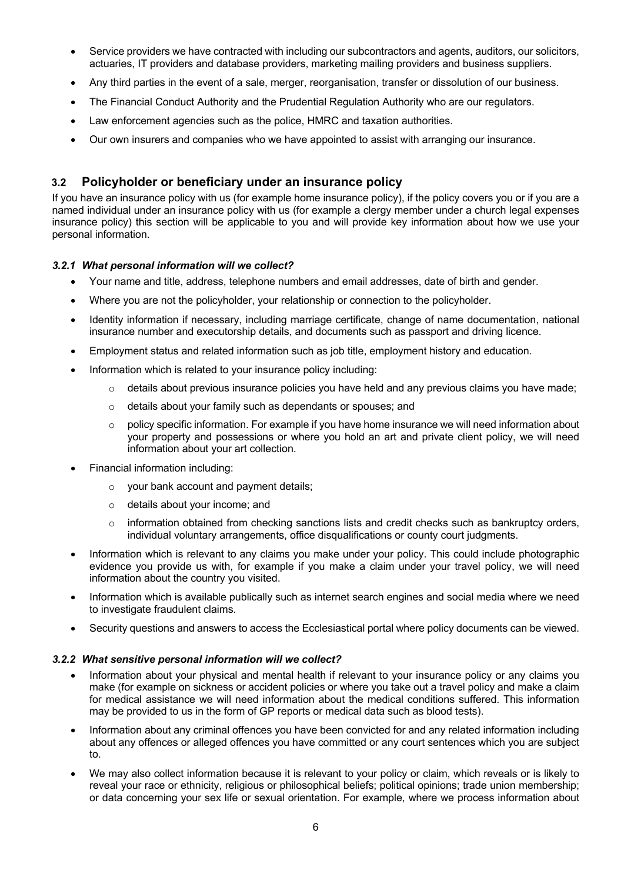- Service providers we have contracted with including our subcontractors and agents, auditors, our solicitors, actuaries, IT providers and database providers, marketing mailing providers and business suppliers.
- Any third parties in the event of a sale, merger, reorganisation, transfer or dissolution of our business.
- The Financial Conduct Authority and the Prudential Regulation Authority who are our regulators.
- Law enforcement agencies such as the police, HMRC and taxation authorities.
- Our own insurers and companies who we have appointed to assist with arranging our insurance.

# **3.2 Policyholder or beneficiary under an insurance policy**

If you have an insurance policy with us (for example home insurance policy), if the policy covers you or if you are a named individual under an insurance policy with us (for example a clergy member under a church legal expenses insurance policy) this section will be applicable to you and will provide key information about how we use your personal information.

# *3.2.1 What personal information will we collect?*

- Your name and title, address, telephone numbers and email addresses, date of birth and gender.
- Where you are not the policyholder, your relationship or connection to the policyholder.
- Identity information if necessary, including marriage certificate, change of name documentation, national insurance number and executorship details, and documents such as passport and driving licence.
- Employment status and related information such as job title, employment history and education.
- Information which is related to your insurance policy including:
	- $\circ$  details about previous insurance policies you have held and any previous claims you have made;
	- o details about your family such as dependants or spouses; and
	- $\circ$  policy specific information. For example if you have home insurance we will need information about your property and possessions or where you hold an art and private client policy, we will need information about your art collection.
- Financial information including:
	- o your bank account and payment details;
	- o details about your income; and
	- $\circ$  information obtained from checking sanctions lists and credit checks such as bankruptcy orders, individual voluntary arrangements, office disqualifications or county court judgments.
- Information which is relevant to any claims you make under your policy. This could include photographic evidence you provide us with, for example if you make a claim under your travel policy, we will need information about the country you visited.
- Information which is available publically such as internet search engines and social media where we need to investigate fraudulent claims.
- Security questions and answers to access the Ecclesiastical portal where policy documents can be viewed.

## *3.2.2 What sensitive personal information will we collect?*

- Information about your physical and mental health if relevant to your insurance policy or any claims you make (for example on sickness or accident policies or where you take out a travel policy and make a claim for medical assistance we will need information about the medical conditions suffered. This information may be provided to us in the form of GP reports or medical data such as blood tests).
- Information about any criminal offences you have been convicted for and any related information including about any offences or alleged offences you have committed or any court sentences which you are subject to.
- We may also collect information because it is relevant to your policy or claim, which reveals or is likely to reveal your race or ethnicity, religious or philosophical beliefs; political opinions; trade union membership; or data concerning your sex life or sexual orientation. For example, where we process information about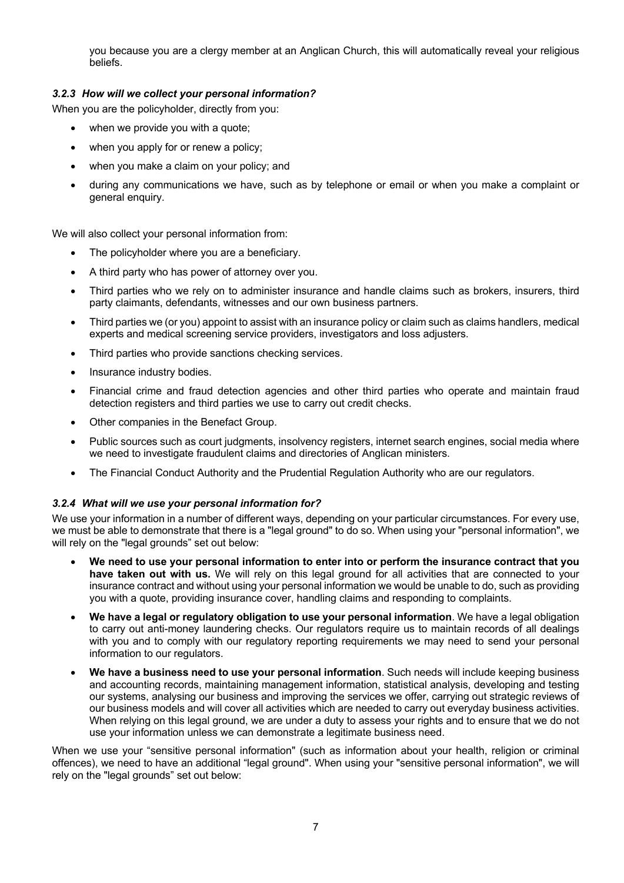you because you are a clergy member at an Anglican Church, this will automatically reveal your religious beliefs.

## *3.2.3 How will we collect your personal information?*

When you are the policyholder, directly from you:

- when we provide you with a quote;
- when you apply for or renew a policy;
- when you make a claim on your policy; and
- during any communications we have, such as by telephone or email or when you make a complaint or general enquiry.

We will also collect your personal information from:

- The policyholder where you are a beneficiary.
- A third party who has power of attorney over you.
- Third parties who we rely on to administer insurance and handle claims such as brokers, insurers, third party claimants, defendants, witnesses and our own business partners.
- Third parties we (or you) appoint to assist with an insurance policy or claim such as claims handlers, medical experts and medical screening service providers, investigators and loss adjusters.
- Third parties who provide sanctions checking services.
- Insurance industry bodies.
- Financial crime and fraud detection agencies and other third parties who operate and maintain fraud detection registers and third parties we use to carry out credit checks.
- Other companies in the Benefact Group.
- Public sources such as court judgments, insolvency registers, internet search engines, social media where we need to investigate fraudulent claims and directories of Anglican ministers.
- The Financial Conduct Authority and the Prudential Regulation Authority who are our regulators.

## *3.2.4 What will we use your personal information for?*

We use your information in a number of different ways, depending on your particular circumstances. For every use, we must be able to demonstrate that there is a "legal ground" to do so. When using your "personal information", we will rely on the "legal grounds" set out below:

- **We need to use your personal information to enter into or perform the insurance contract that you have taken out with us.** We will rely on this legal ground for all activities that are connected to your insurance contract and without using your personal information we would be unable to do, such as providing you with a quote, providing insurance cover, handling claims and responding to complaints.
- **We have a legal or regulatory obligation to use your personal information**. We have a legal obligation to carry out anti-money laundering checks. Our regulators require us to maintain records of all dealings with you and to comply with our regulatory reporting requirements we may need to send your personal information to our regulators.
- **We have a business need to use your personal information**. Such needs will include keeping business and accounting records, maintaining management information, statistical analysis, developing and testing our systems, analysing our business and improving the services we offer, carrying out strategic reviews of our business models and will cover all activities which are needed to carry out everyday business activities. When relying on this legal ground, we are under a duty to assess your rights and to ensure that we do not use your information unless we can demonstrate a legitimate business need.

When we use your "sensitive personal information" (such as information about your health, religion or criminal offences), we need to have an additional "legal ground". When using your "sensitive personal information", we will rely on the "legal grounds" set out below: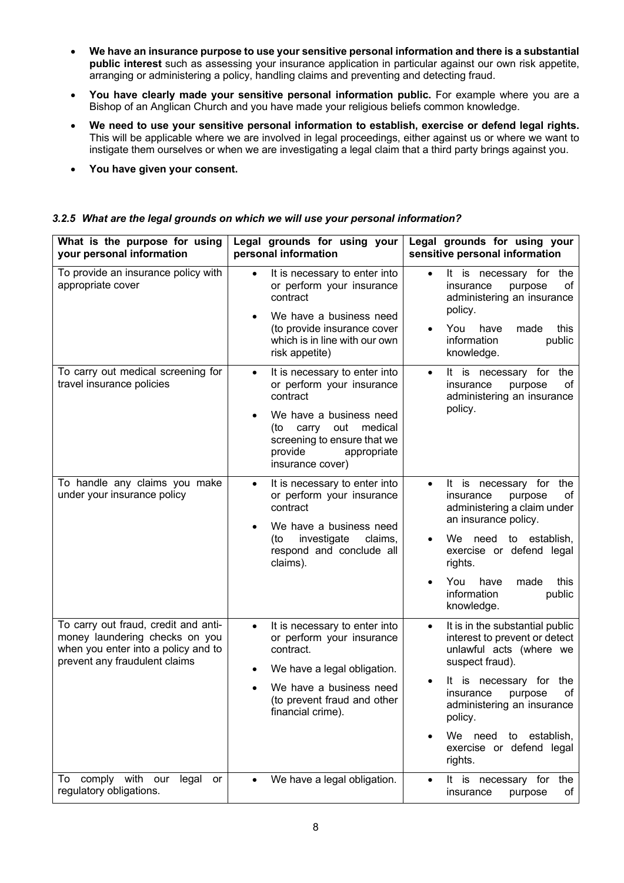- **We have an insurance purpose to use your sensitive personal information and there is a substantial public interest** such as assessing your insurance application in particular against our own risk appetite, arranging or administering a policy, handling claims and preventing and detecting fraud.
- **You have clearly made your sensitive personal information public.** For example where you are a Bishop of an Anglican Church and you have made your religious beliefs common knowledge.
- **We need to use your sensitive personal information to establish, exercise or defend legal rights.** This will be applicable where we are involved in legal proceedings, either against us or where we want to instigate them ourselves or when we are investigating a legal claim that a third party brings against you.
- **You have given your consent.**

| What is the purpose for using<br>your personal information                                                                                     | Legal grounds for using your<br>personal information                                                                                                                                                                          | Legal grounds for using your<br>sensitive personal information                                                                                                                                                                                                                                            |
|------------------------------------------------------------------------------------------------------------------------------------------------|-------------------------------------------------------------------------------------------------------------------------------------------------------------------------------------------------------------------------------|-----------------------------------------------------------------------------------------------------------------------------------------------------------------------------------------------------------------------------------------------------------------------------------------------------------|
| To provide an insurance policy with<br>appropriate cover                                                                                       | It is necessary to enter into<br>$\bullet$<br>or perform your insurance<br>contract                                                                                                                                           | It is necessary for the<br>$\bullet$<br>insurance<br>оf<br>purpose<br>administering an insurance                                                                                                                                                                                                          |
|                                                                                                                                                | We have a business need<br>(to provide insurance cover<br>which is in line with our own<br>risk appetite)                                                                                                                     | policy.<br>You<br>have<br>this<br>made<br>information<br>public<br>knowledge.                                                                                                                                                                                                                             |
| To carry out medical screening for<br>travel insurance policies                                                                                | It is necessary to enter into<br>$\bullet$<br>or perform your insurance<br>contract<br>We have a business need<br>carry<br>out<br>medical<br>(to<br>screening to ensure that we<br>provide<br>appropriate<br>insurance cover) | It is necessary for<br>the<br>$\bullet$<br>insurance<br>purpose<br>οf<br>administering an insurance<br>policy.                                                                                                                                                                                            |
| To handle any claims you make<br>under your insurance policy                                                                                   | It is necessary to enter into<br>$\bullet$<br>or perform your insurance<br>contract<br>We have a business need<br>investigate<br>claims,<br>(to<br>respond and conclude all<br>claims).                                       | It is<br>necessary for the<br>$\bullet$<br>insurance<br>purpose<br>οf<br>administering a claim under<br>an insurance policy.<br>We need to establish,<br>exercise or defend legal<br>rights.<br>You<br>have<br>this<br>made<br>information<br>public<br>knowledge.                                        |
| To carry out fraud, credit and anti-<br>money laundering checks on you<br>when you enter into a policy and to<br>prevent any fraudulent claims | It is necessary to enter into<br>$\bullet$<br>or perform your insurance<br>contract.<br>We have a legal obligation.<br>We have a business need<br>(to prevent fraud and other<br>financial crime).                            | It is in the substantial public<br>$\bullet$<br>interest to prevent or detect<br>unlawful acts (where we<br>suspect fraud).<br>necessary for<br>the<br>It<br>is<br>οf<br>insurance<br>purpose<br>administering an insurance<br>policy.<br>We need<br>to establish,<br>exercise or defend legal<br>rights. |
| comply with our<br>legal<br>To<br>or<br>regulatory obligations.                                                                                | We have a legal obligation.                                                                                                                                                                                                   | It is<br>necessary for<br>the<br>insurance<br>purpose<br>οf                                                                                                                                                                                                                                               |

# *3.2.5 What are the legal grounds on which we will use your personal information?*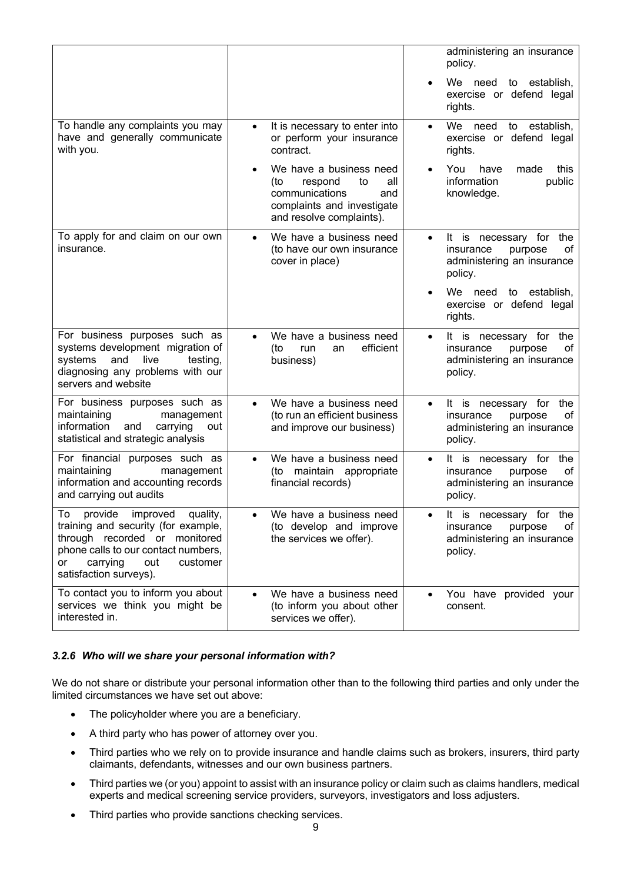|                                                                                                                                                                                                            |                                                                                                                                           | administering an insurance<br>policy.                                                                          |
|------------------------------------------------------------------------------------------------------------------------------------------------------------------------------------------------------------|-------------------------------------------------------------------------------------------------------------------------------------------|----------------------------------------------------------------------------------------------------------------|
|                                                                                                                                                                                                            |                                                                                                                                           | We need to establish,<br>exercise or defend legal<br>rights.                                                   |
| To handle any complaints you may<br>have and generally communicate<br>with you.                                                                                                                            | It is necessary to enter into<br>$\bullet$<br>or perform your insurance<br>contract.                                                      | We<br>need<br>to establish,<br>$\bullet$<br>exercise or defend legal<br>rights.                                |
|                                                                                                                                                                                                            | We have a business need<br>respond<br>to<br>all<br>(to<br>communications<br>and<br>complaints and investigate<br>and resolve complaints). | You<br>this<br>have<br>made<br>information<br>public<br>knowledge.                                             |
| To apply for and claim on our own<br>insurance.                                                                                                                                                            | We have a business need<br>$\bullet$<br>(to have our own insurance<br>cover in place)                                                     | It is necessary for the<br>$\bullet$<br>insurance<br>οf<br>purpose<br>administering an insurance<br>policy.    |
|                                                                                                                                                                                                            |                                                                                                                                           | We need<br>to establish,<br>exercise or defend legal<br>rights.                                                |
| For business purposes such as<br>systems development migration of<br>and<br>systems<br>live<br>testing,<br>diagnosing any problems with our<br>servers and website                                         | We have a business need<br>$\bullet$<br>efficient<br>(to<br>run<br>an<br>business)                                                        | It is necessary for the<br>$\bullet$<br>insurance<br>οf<br>purpose<br>administering an insurance<br>policy.    |
| For business purposes such as<br>maintaining<br>management<br>information<br>carrying<br>and<br>out<br>statistical and strategic analysis                                                                  | We have a business need<br>(to run an efficient business<br>and improve our business)                                                     | It is necessary for<br>the<br>$\bullet$<br>insurance<br>purpose<br>οf<br>administering an insurance<br>policy. |
| For financial purposes such as<br>maintaining<br>management<br>information and accounting records<br>and carrying out audits                                                                               | We have a business need<br>$\bullet$<br>(to maintain appropriate<br>financial records)                                                    | It is necessary for the<br>$\bullet$<br>insurance<br>οf<br>purpose<br>administering an insurance<br>policy.    |
| To provide improved quality,<br>training and security (for example,<br>through recorded or monitored<br>phone calls to our contact numbers,<br>carrying<br>out<br>customer<br>or<br>satisfaction surveys). | We have a business need<br>(to develop and improve<br>the services we offer).                                                             | It is necessary for the<br>insurance<br>of<br>purpose<br>administering an insurance<br>policy.                 |
| To contact you to inform you about<br>services we think you might be<br>interested in.                                                                                                                     | We have a business need<br>(to inform you about other<br>services we offer).                                                              | You have provided your<br>consent.                                                                             |

## *3.2.6 Who will we share your personal information with?*

We do not share or distribute your personal information other than to the following third parties and only under the limited circumstances we have set out above:

- The policyholder where you are a beneficiary.
- A third party who has power of attorney over you.
- Third parties who we rely on to provide insurance and handle claims such as brokers, insurers, third party claimants, defendants, witnesses and our own business partners.
- Third parties we (or you) appoint to assist with an insurance policy or claim such as claims handlers, medical experts and medical screening service providers, surveyors, investigators and loss adjusters.
- Third parties who provide sanctions checking services.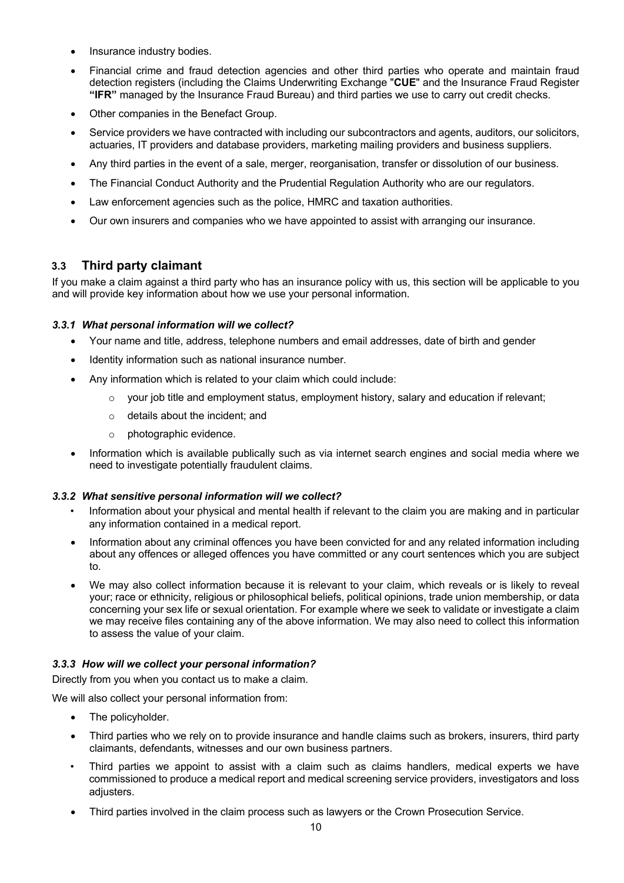- Insurance industry bodies.
- Financial crime and fraud detection agencies and other third parties who operate and maintain fraud detection registers (including the Claims Underwriting Exchange "**CUE**" and the Insurance Fraud Register **"IFR"** managed by the Insurance Fraud Bureau) and third parties we use to carry out credit checks.
- Other companies in the Benefact Group.
- Service providers we have contracted with including our subcontractors and agents, auditors, our solicitors, actuaries, IT providers and database providers, marketing mailing providers and business suppliers.
- Any third parties in the event of a sale, merger, reorganisation, transfer or dissolution of our business.
- The Financial Conduct Authority and the Prudential Regulation Authority who are our regulators.
- Law enforcement agencies such as the police, HMRC and taxation authorities.
- Our own insurers and companies who we have appointed to assist with arranging our insurance.

# **3.3 Third party claimant**

If you make a claim against a third party who has an insurance policy with us, this section will be applicable to you and will provide key information about how we use your personal information.

# *3.3.1 What personal information will we collect?*

- Your name and title, address, telephone numbers and email addresses, date of birth and gender
- Identity information such as national insurance number.
- Any information which is related to your claim which could include:
	- $\circ$  your job title and employment status, employment history, salary and education if relevant;
	- o details about the incident; and
	- o photographic evidence.
- Information which is available publically such as via internet search engines and social media where we need to investigate potentially fraudulent claims.

## *3.3.2 What sensitive personal information will we collect?*

- Information about your physical and mental health if relevant to the claim you are making and in particular any information contained in a medical report.
- Information about any criminal offences you have been convicted for and any related information including about any offences or alleged offences you have committed or any court sentences which you are subject to.
- We may also collect information because it is relevant to your claim, which reveals or is likely to reveal your; race or ethnicity, religious or philosophical beliefs, political opinions, trade union membership, or data concerning your sex life or sexual orientation. For example where we seek to validate or investigate a claim we may receive files containing any of the above information. We may also need to collect this information to assess the value of your claim.

## *3.3.3 How will we collect your personal information?*

Directly from you when you contact us to make a claim.

We will also collect your personal information from:

- The policyholder.
- Third parties who we rely on to provide insurance and handle claims such as brokers, insurers, third party claimants, defendants, witnesses and our own business partners.
- Third parties we appoint to assist with a claim such as claims handlers, medical experts we have commissioned to produce a medical report and medical screening service providers, investigators and loss adjusters.
- Third parties involved in the claim process such as lawyers or the Crown Prosecution Service.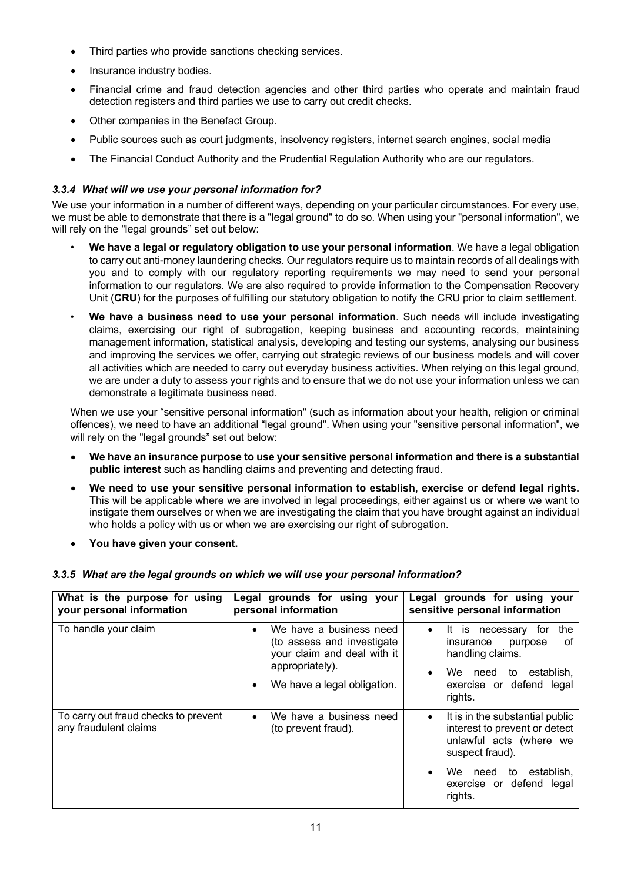- Third parties who provide sanctions checking services.
- Insurance industry bodies.
- Financial crime and fraud detection agencies and other third parties who operate and maintain fraud detection registers and third parties we use to carry out credit checks.
- Other companies in the Benefact Group.
- Public sources such as court judgments, insolvency registers, internet search engines, social media
- The Financial Conduct Authority and the Prudential Regulation Authority who are our regulators.

# *3.3.4 What will we use your personal information for?*

We use your information in a number of different ways, depending on your particular circumstances. For every use, we must be able to demonstrate that there is a "legal ground" to do so. When using your "personal information", we will rely on the "legal grounds" set out below:

- **We have a legal or regulatory obligation to use your personal information**. We have a legal obligation to carry out anti-money laundering checks. Our regulators require us to maintain records of all dealings with you and to comply with our regulatory reporting requirements we may need to send your personal information to our regulators. We are also required to provide information to the Compensation Recovery Unit (**CRU**) for the purposes of fulfilling our statutory obligation to notify the CRU prior to claim settlement.
- **We have a business need to use your personal information**. Such needs will include investigating claims, exercising our right of subrogation, keeping business and accounting records, maintaining management information, statistical analysis, developing and testing our systems, analysing our business and improving the services we offer, carrying out strategic reviews of our business models and will cover all activities which are needed to carry out everyday business activities. When relying on this legal ground, we are under a duty to assess your rights and to ensure that we do not use your information unless we can demonstrate a legitimate business need.

When we use your "sensitive personal information" (such as information about your health, religion or criminal offences), we need to have an additional "legal ground". When using your "sensitive personal information", we will rely on the "legal grounds" set out below:

- **We have an insurance purpose to use your sensitive personal information and there is a substantial public interest** such as handling claims and preventing and detecting fraud.
- **We need to use your sensitive personal information to establish, exercise or defend legal rights.** This will be applicable where we are involved in legal proceedings, either against us or where we want to instigate them ourselves or when we are investigating the claim that you have brought against an individual who holds a policy with us or when we are exercising our right of subrogation.
- **You have given your consent.**

|  |  |  |  | 3.3.5 What are the legal grounds on which we will use your personal information? |  |
|--|--|--|--|----------------------------------------------------------------------------------|--|
|  |  |  |  |                                                                                  |  |

| What is the purpose for using<br>your personal information    | Legal grounds for using your<br>personal information                                                                                                             | Legal grounds for using your<br>sensitive personal information                                                                                                                  |
|---------------------------------------------------------------|------------------------------------------------------------------------------------------------------------------------------------------------------------------|---------------------------------------------------------------------------------------------------------------------------------------------------------------------------------|
| To handle your claim                                          | We have a business need<br>$\bullet$<br>(to assess and investigate<br>your claim and deal with it<br>appropriately).<br>We have a legal obligation.<br>$\bullet$ | the<br>It is necessary<br>tor<br>$\bullet$<br>οf<br>insurance<br>purpose<br>handling claims.<br>to establish.<br>We<br>need<br>$\bullet$<br>exercise or defend legal<br>rights. |
| To carry out fraud checks to prevent<br>any fraudulent claims | We have a business need<br>$\bullet$<br>(to prevent fraud).                                                                                                      | It is in the substantial public<br>$\bullet$<br>interest to prevent or detect<br>unlawful acts (where we<br>suspect fraud).                                                     |
|                                                               |                                                                                                                                                                  | establish.<br>We<br>to<br>need<br>$\bullet$<br>exercise or defend legal<br>rights.                                                                                              |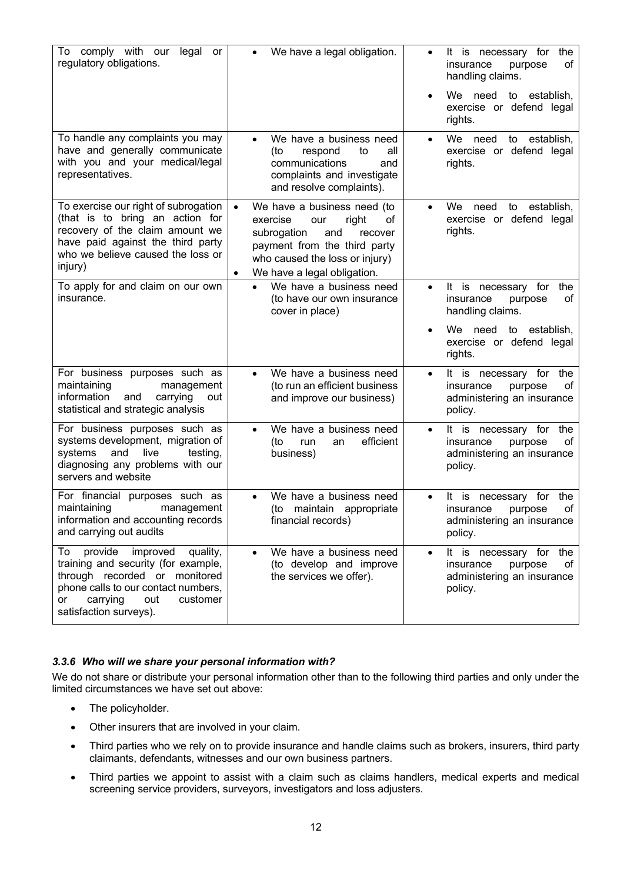| To comply with our<br>legal<br>or<br>regulatory obligations.                                                                                                                                                        | We have a legal obligation.<br>$\bullet$                                                                                                                                                                                  | It is necessary for<br>the<br>$\bullet$<br>insurance<br>purpose<br>οf<br>handling claims.<br>We need to<br>establish.<br>$\bullet$<br>exercise or defend legal<br>rights. |
|---------------------------------------------------------------------------------------------------------------------------------------------------------------------------------------------------------------------|---------------------------------------------------------------------------------------------------------------------------------------------------------------------------------------------------------------------------|---------------------------------------------------------------------------------------------------------------------------------------------------------------------------|
| To handle any complaints you may<br>have and generally communicate<br>with you and your medical/legal<br>representatives.                                                                                           | We have a business need<br>$\bullet$<br>respond<br>to<br>all<br>(to<br>communications<br>and<br>complaints and investigate<br>and resolve complaints).                                                                    | establish,<br>We.<br>need<br>to<br>$\bullet$<br>exercise or defend legal<br>rights.                                                                                       |
| To exercise our right of subrogation<br>(that is to bring an action for<br>recovery of the claim amount we<br>have paid against the third party<br>who we believe caused the loss or<br>injury)                     | We have a business need (to<br>$\bullet$<br>exercise<br>right<br>our<br>of<br>subrogation<br>and<br>recover<br>payment from the third party<br>who caused the loss or injury)<br>We have a legal obligation.<br>$\bullet$ | We<br>need<br>establish,<br>to<br>$\bullet$<br>exercise or defend legal<br>rights.                                                                                        |
| To apply for and claim on our own<br>insurance.                                                                                                                                                                     | We have a business need<br>(to have our own insurance<br>cover in place)                                                                                                                                                  | It is necessary for the<br>$\bullet$<br>insurance<br>οf<br>purpose<br>handling claims.                                                                                    |
|                                                                                                                                                                                                                     |                                                                                                                                                                                                                           | We need to establish,<br>$\bullet$<br>exercise or defend legal<br>rights.                                                                                                 |
| For business purposes such as<br>maintaining<br>management<br>information<br>carrying<br>and<br>out<br>statistical and strategic analysis                                                                           | We have a business need<br>$\bullet$<br>(to run an efficient business<br>and improve our business)                                                                                                                        | It is necessary for<br>the<br>$\bullet$<br>insurance<br>οf<br>purpose<br>administering an insurance<br>policy.                                                            |
| For business purposes such as<br>systems development, migration of<br>systems<br>and<br>live<br>testing,<br>diagnosing any problems with our<br>servers and website                                                 | We have a business need<br>$\bullet$<br>efficient<br>(to<br>run<br>an<br>business)                                                                                                                                        | It is necessary for<br>the<br>$\bullet$<br>insurance<br>purpose<br>οf<br>administering an insurance<br>policy.                                                            |
| For financial purposes such as<br>maintaining<br>management<br>information and accounting records<br>and carrying out audits                                                                                        | We have a business need<br>$\bullet$<br>(to<br>maintain<br>appropriate<br>financial records)                                                                                                                              | the<br>It is<br>for<br>necessary<br>$\bullet$<br>of<br>insurance<br>purpose<br>administering an insurance<br>policy.                                                      |
| provide<br>improved<br>quality,<br>To<br>training and security (for example,<br>through recorded or monitored<br>phone calls to our contact numbers,<br>carrying<br>out<br>customer<br>or<br>satisfaction surveys). | We have a business need<br>(to develop and improve<br>the services we offer).                                                                                                                                             | It is necessary for the<br>$\bullet$<br>insurance<br>purpose<br>οf<br>administering an insurance<br>policy.                                                               |

## *3.3.6 Who will we share your personal information with?*

We do not share or distribute your personal information other than to the following third parties and only under the limited circumstances we have set out above:

- The policyholder.
- Other insurers that are involved in your claim.
- Third parties who we rely on to provide insurance and handle claims such as brokers, insurers, third party claimants, defendants, witnesses and our own business partners.
- Third parties we appoint to assist with a claim such as claims handlers, medical experts and medical screening service providers, surveyors, investigators and loss adjusters.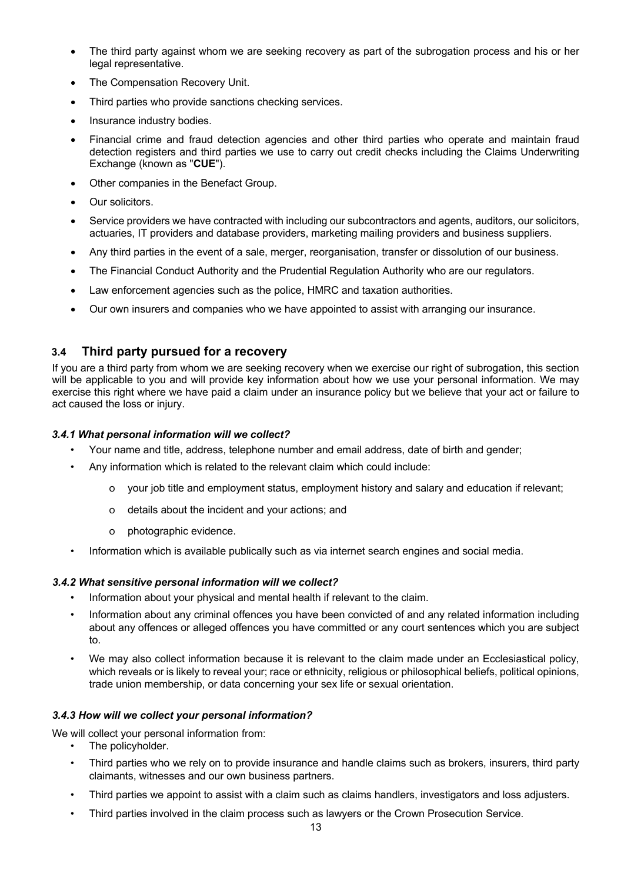- The third party against whom we are seeking recovery as part of the subrogation process and his or her legal representative.
- The Compensation Recovery Unit.
- Third parties who provide sanctions checking services.
- Insurance industry bodies.
- Financial crime and fraud detection agencies and other third parties who operate and maintain fraud detection registers and third parties we use to carry out credit checks including the Claims Underwriting Exchange (known as "**CUE**").
- Other companies in the Benefact Group.
- Our solicitors.
- Service providers we have contracted with including our subcontractors and agents, auditors, our solicitors, actuaries, IT providers and database providers, marketing mailing providers and business suppliers.
- Any third parties in the event of a sale, merger, reorganisation, transfer or dissolution of our business.
- The Financial Conduct Authority and the Prudential Regulation Authority who are our regulators.
- Law enforcement agencies such as the police, HMRC and taxation authorities.
- Our own insurers and companies who we have appointed to assist with arranging our insurance.

# **3.4 Third party pursued for a recovery**

If you are a third party from whom we are seeking recovery when we exercise our right of subrogation, this section will be applicable to you and will provide key information about how we use your personal information. We may exercise this right where we have paid a claim under an insurance policy but we believe that your act or failure to act caused the loss or injury.

## *3.4.1 What personal information will we collect?*

- Your name and title, address, telephone number and email address, date of birth and gender;
- Any information which is related to the relevant claim which could include:
	- o your job title and employment status, employment history and salary and education if relevant;
	- o details about the incident and your actions; and
	- o photographic evidence.
- Information which is available publically such as via internet search engines and social media.

## *3.4.2 What sensitive personal information will we collect?*

- Information about your physical and mental health if relevant to the claim.
- Information about any criminal offences you have been convicted of and any related information including about any offences or alleged offences you have committed or any court sentences which you are subject to.
- We may also collect information because it is relevant to the claim made under an Ecclesiastical policy, which reveals or is likely to reveal your; race or ethnicity, religious or philosophical beliefs, political opinions, trade union membership, or data concerning your sex life or sexual orientation.

## *3.4.3 How will we collect your personal information?*

- We will collect your personal information from:
	- The policyholder.
		- Third parties who we rely on to provide insurance and handle claims such as brokers, insurers, third party claimants, witnesses and our own business partners.
		- Third parties we appoint to assist with a claim such as claims handlers, investigators and loss adjusters.
		- Third parties involved in the claim process such as lawyers or the Crown Prosecution Service.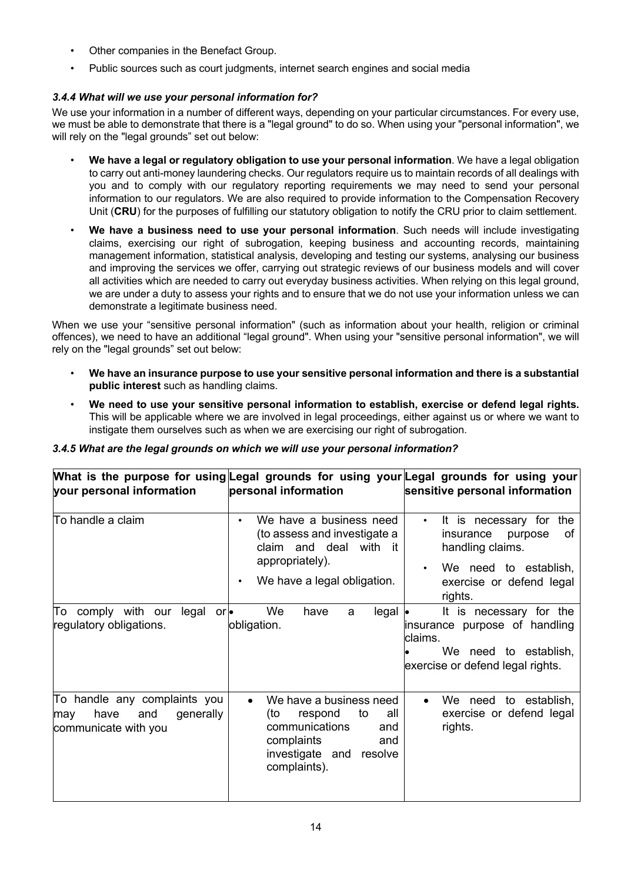- Other companies in the Benefact Group.
- Public sources such as court judgments, internet search engines and social media

# *3.4.4 What will we use your personal information for?*

We use your information in a number of different ways, depending on your particular circumstances. For every use, we must be able to demonstrate that there is a "legal ground" to do so. When using your "personal information", we will rely on the "legal grounds" set out below:

- **We have a legal or regulatory obligation to use your personal information**. We have a legal obligation to carry out anti-money laundering checks. Our regulators require us to maintain records of all dealings with you and to comply with our regulatory reporting requirements we may need to send your personal information to our regulators. We are also required to provide information to the Compensation Recovery Unit (**CRU**) for the purposes of fulfilling our statutory obligation to notify the CRU prior to claim settlement.
- **We have a business need to use your personal information**. Such needs will include investigating claims, exercising our right of subrogation, keeping business and accounting records, maintaining management information, statistical analysis, developing and testing our systems, analysing our business and improving the services we offer, carrying out strategic reviews of our business models and will cover all activities which are needed to carry out everyday business activities. When relying on this legal ground, we are under a duty to assess your rights and to ensure that we do not use your information unless we can demonstrate a legitimate business need.

When we use your "sensitive personal information" (such as information about your health, religion or criminal offences), we need to have an additional "legal ground". When using your "sensitive personal information", we will rely on the "legal grounds" set out below:

- **We have an insurance purpose to use your sensitive personal information and there is a substantial public interest** such as handling claims.
- **We need to use your sensitive personal information to establish, exercise or defend legal rights.** This will be applicable where we are involved in legal proceedings, either against us or where we want to instigate them ourselves such as when we are exercising our right of subrogation.

| 3.4.5 What are the legal grounds on which we will use your personal information? |  |  |  |
|----------------------------------------------------------------------------------|--|--|--|
|                                                                                  |  |  |  |

|                                                                                         |                                                                                                                                                               | What is the purpose for using Legal grounds for using your Legal grounds for using your                                                             |
|-----------------------------------------------------------------------------------------|---------------------------------------------------------------------------------------------------------------------------------------------------------------|-----------------------------------------------------------------------------------------------------------------------------------------------------|
| your personal information                                                               | personal information                                                                                                                                          | sensitive personal information                                                                                                                      |
| To handle a claim                                                                       | We have a business need<br>$\bullet$<br>(to assess and investigate a<br>claim and deal with it<br>appropriately).<br>We have a legal obligation.<br>$\bullet$ | It is necessary for the<br>insurance purpose<br>0f<br>handling claims.<br>We need to establish,<br>$\bullet$<br>exercise or defend legal<br>rights. |
| To comply with our legal<br>or<br>regulatory obligations.                               | We<br>have<br>$legal \cdot$<br>a<br>obligation.                                                                                                               | It is necessary for the<br>insurance purpose of handling<br>claims.<br>We need to establish,<br>exercise or defend legal rights.                    |
| To handle any complaints you<br>have<br>generally<br>and<br>may<br>communicate with you | We have a business need<br>(to<br>respond<br>to<br>all<br>communications<br>and<br>complaints<br>and<br>investigate and resolve<br>complaints).               | We need to establish,<br>exercise or defend legal<br>rights.                                                                                        |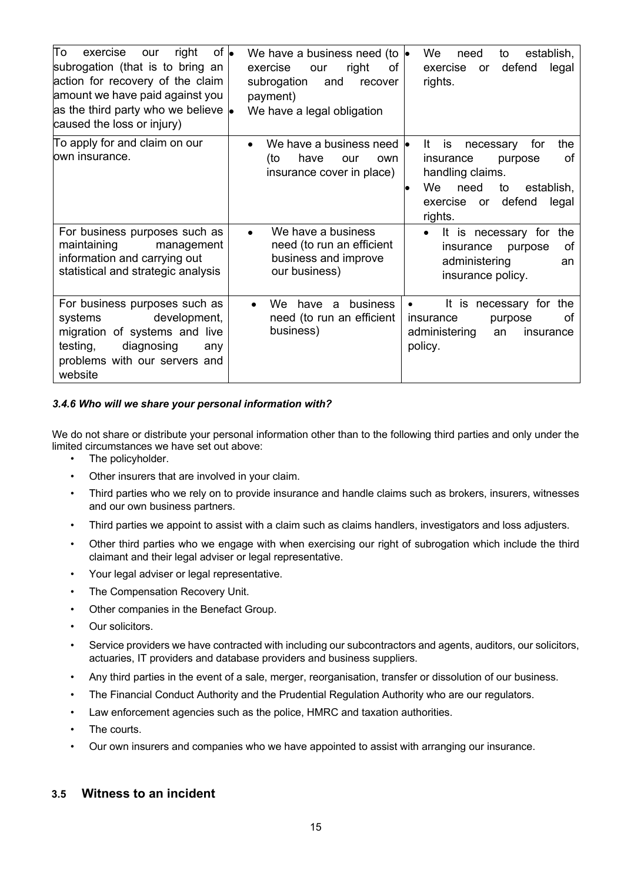| To<br>$of \bullet$<br>exercise<br>right<br>our<br>subrogation (that is to bring an<br>action for recovery of the claim<br>amount we have paid against you<br>as the third party who we believe $\bullet$<br>caused the loss or injury) | We have a business need (to $\bullet$<br>exercise<br>right<br>οf<br>our<br>subrogation<br>and<br>recover<br>payment)<br>We have a legal obligation | We<br>establish,<br>need<br>to<br>defend<br>exercise<br>legal<br>or<br>rights.                                                                                                     |
|----------------------------------------------------------------------------------------------------------------------------------------------------------------------------------------------------------------------------------------|----------------------------------------------------------------------------------------------------------------------------------------------------|------------------------------------------------------------------------------------------------------------------------------------------------------------------------------------|
| To apply for and claim on our<br>lown insurance.                                                                                                                                                                                       | We have a business need<br>(to<br>have<br>our<br>own<br>insurance cover in place)                                                                  | lt.<br>for<br>the<br><b>is</b><br>necessary<br>insurance<br>0f<br>purpose<br>handling claims.<br>We.<br>need<br>to<br>establish,<br>defend<br>legal<br>exercise<br>or -<br>rights. |
| For business purposes such as<br>maintaining<br>management<br>information and carrying out<br>statistical and strategic analysis                                                                                                       | We have a business<br>$\bullet$<br>need (to run an efficient<br>business and improve<br>our business)                                              | It is necessary for<br>the<br>of<br>insurance<br>purpose<br>administering<br>an<br>insurance policy.                                                                               |
| For business purposes such as<br>development,<br>systems<br>migration of systems and live<br>testing,<br>diagnosing<br>any<br>problems with our servers and<br>website                                                                 | business<br>have a<br>We<br>$\bullet$<br>need (to run an efficient<br>business)                                                                    | It is necessary for the<br>insurance<br>purpose<br>οf<br>administering<br>an<br>insurance<br>policy.                                                                               |

# *3.4.6 Who will we share your personal information with?*

We do not share or distribute your personal information other than to the following third parties and only under the limited circumstances we have set out above:

- The policyholder.
- Other insurers that are involved in your claim.
- Third parties who we rely on to provide insurance and handle claims such as brokers, insurers, witnesses and our own business partners.
- Third parties we appoint to assist with a claim such as claims handlers, investigators and loss adjusters.
- Other third parties who we engage with when exercising our right of subrogation which include the third claimant and their legal adviser or legal representative.
- Your legal adviser or legal representative.
- The Compensation Recovery Unit.
- Other companies in the Benefact Group.
- Our solicitors.
- Service providers we have contracted with including our subcontractors and agents, auditors, our solicitors, actuaries, IT providers and database providers and business suppliers.
- Any third parties in the event of a sale, merger, reorganisation, transfer or dissolution of our business.
- The Financial Conduct Authority and the Prudential Regulation Authority who are our regulators.
- Law enforcement agencies such as the police, HMRC and taxation authorities.
- The courts.
- Our own insurers and companies who we have appointed to assist with arranging our insurance.

# **3.5 Witness to an incident**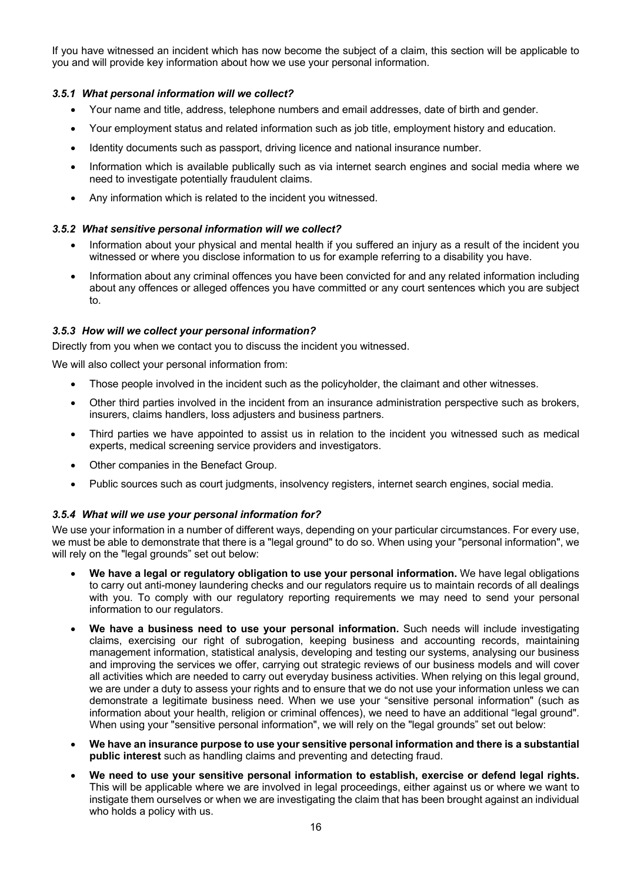If you have witnessed an incident which has now become the subject of a claim, this section will be applicable to you and will provide key information about how we use your personal information.

## *3.5.1 What personal information will we collect?*

- Your name and title, address, telephone numbers and email addresses, date of birth and gender.
- Your employment status and related information such as job title, employment history and education.
- Identity documents such as passport, driving licence and national insurance number.
- Information which is available publically such as via internet search engines and social media where we need to investigate potentially fraudulent claims.
- Any information which is related to the incident you witnessed.

#### *3.5.2 What sensitive personal information will we collect?*

- Information about your physical and mental health if you suffered an injury as a result of the incident you witnessed or where you disclose information to us for example referring to a disability you have.
- Information about any criminal offences you have been convicted for and any related information including about any offences or alleged offences you have committed or any court sentences which you are subject to.

#### *3.5.3 How will we collect your personal information?*

Directly from you when we contact you to discuss the incident you witnessed.

We will also collect your personal information from:

- Those people involved in the incident such as the policyholder, the claimant and other witnesses.
- Other third parties involved in the incident from an insurance administration perspective such as brokers, insurers, claims handlers, loss adjusters and business partners.
- Third parties we have appointed to assist us in relation to the incident you witnessed such as medical experts, medical screening service providers and investigators.
- Other companies in the Benefact Group.
- Public sources such as court judgments, insolvency registers, internet search engines, social media.

## *3.5.4 What will we use your personal information for?*

We use your information in a number of different ways, depending on your particular circumstances. For every use, we must be able to demonstrate that there is a "legal ground" to do so. When using your "personal information", we will rely on the "legal grounds" set out below:

- **We have a legal or regulatory obligation to use your personal information.** We have legal obligations to carry out anti-money laundering checks and our regulators require us to maintain records of all dealings with you. To comply with our regulatory reporting requirements we may need to send your personal information to our regulators.
- **We have a business need to use your personal information.** Such needs will include investigating claims, exercising our right of subrogation, keeping business and accounting records, maintaining management information, statistical analysis, developing and testing our systems, analysing our business and improving the services we offer, carrying out strategic reviews of our business models and will cover all activities which are needed to carry out everyday business activities. When relying on this legal ground, we are under a duty to assess your rights and to ensure that we do not use your information unless we can demonstrate a legitimate business need. When we use your "sensitive personal information" (such as information about your health, religion or criminal offences), we need to have an additional "legal ground". When using your "sensitive personal information", we will rely on the "legal grounds" set out below:
- **We have an insurance purpose to use your sensitive personal information and there is a substantial public interest** such as handling claims and preventing and detecting fraud.
- **We need to use your sensitive personal information to establish, exercise or defend legal rights.**  This will be applicable where we are involved in legal proceedings, either against us or where we want to instigate them ourselves or when we are investigating the claim that has been brought against an individual who holds a policy with us.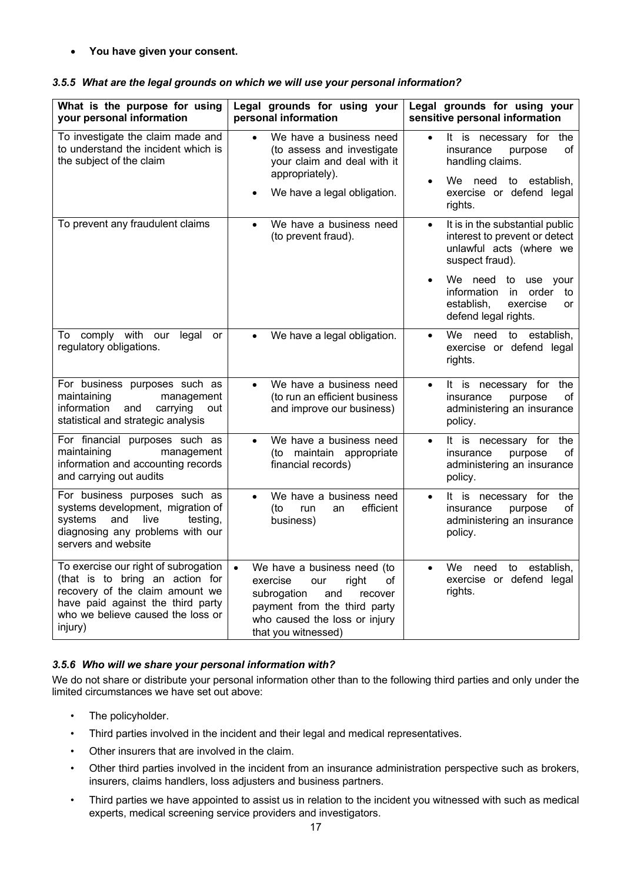• **You have given your consent.**

| What is the purpose for using<br>your personal information                                                                                                                                      | Legal grounds for using your<br>personal information                                                                                                                                                | Legal grounds for using your<br>sensitive personal information                                                               |
|-------------------------------------------------------------------------------------------------------------------------------------------------------------------------------------------------|-----------------------------------------------------------------------------------------------------------------------------------------------------------------------------------------------------|------------------------------------------------------------------------------------------------------------------------------|
| To investigate the claim made and<br>to understand the incident which is<br>the subject of the claim                                                                                            | We have a business need<br>$\bullet$<br>(to assess and investigate<br>your claim and deal with it                                                                                                   | It is necessary for<br>the<br>$\bullet$<br>insurance<br>purpose<br>οf<br>handling claims.                                    |
|                                                                                                                                                                                                 | appropriately).<br>We have a legal obligation.<br>$\bullet$                                                                                                                                         | We need to<br>establish,<br>$\bullet$<br>exercise or defend legal<br>rights.                                                 |
| To prevent any fraudulent claims                                                                                                                                                                | We have a business need<br>$\bullet$<br>(to prevent fraud).                                                                                                                                         | It is in the substantial public<br>$\bullet$<br>interest to prevent or detect<br>unlawful acts (where we<br>suspect fraud).  |
|                                                                                                                                                                                                 |                                                                                                                                                                                                     | We need to use your<br>$\bullet$<br>information<br>in<br>order<br>to<br>establish,<br>exercise<br>or<br>defend legal rights. |
| To comply with our<br>legal<br>or<br>regulatory obligations.                                                                                                                                    | We have a legal obligation.<br>$\bullet$                                                                                                                                                            | We.<br>need<br>to establish,<br>$\bullet$<br>exercise or defend legal<br>rights.                                             |
| For business purposes such as<br>maintaining<br>management<br>information<br>and<br>carrying<br>out<br>statistical and strategic analysis                                                       | We have a business need<br>$\bullet$<br>(to run an efficient business<br>and improve our business)                                                                                                  | It is necessary for<br>the<br>$\bullet$<br>insurance<br>purpose<br>οf<br>administering an insurance<br>policy.               |
| For financial purposes such as<br>maintaining<br>management<br>information and accounting records<br>and carrying out audits                                                                    | We have a business need<br>$\bullet$<br>maintain appropriate<br>(to<br>financial records)                                                                                                           | It is necessary for<br>the<br>$\bullet$<br>insurance<br>purpose<br>οf<br>administering an insurance<br>policy.               |
| For business purposes such as<br>systems development, migration of<br>systems<br>and<br>live<br>testing,<br>diagnosing any problems with our<br>servers and website                             | We have a business need<br>$\bullet$<br>efficient<br>(to<br>run<br>an<br>business)                                                                                                                  | It is necessary for<br>the<br>$\bullet$<br>insurance<br>of<br>purpose<br>administering an insurance<br>policy.               |
| To exercise our right of subrogation<br>(that is to bring an action for<br>recovery of the claim amount we<br>have paid against the third party<br>who we believe caused the loss or<br>injury) | We have a business need (to<br>$\bullet$<br>exercise<br>οf<br>right<br>our<br>subrogation<br>and<br>recover<br>payment from the third party<br>who caused the loss or injury<br>that you witnessed) | We need<br>to<br>establish.<br>$\bullet$<br>exercise or defend legal<br>rights.                                              |

# *3.5.5 What are the legal grounds on which we will use your personal information?*

# *3.5.6 Who will we share your personal information with?*

We do not share or distribute your personal information other than to the following third parties and only under the limited circumstances we have set out above:

- The policyholder.
- Third parties involved in the incident and their legal and medical representatives.
- Other insurers that are involved in the claim.
- Other third parties involved in the incident from an insurance administration perspective such as brokers, insurers, claims handlers, loss adjusters and business partners.
- Third parties we have appointed to assist us in relation to the incident you witnessed with such as medical experts, medical screening service providers and investigators.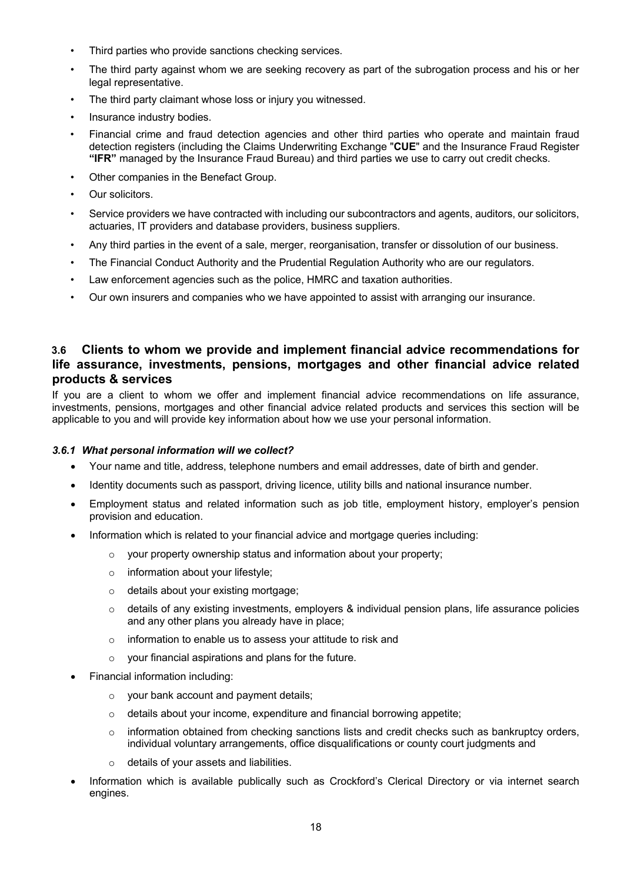- Third parties who provide sanctions checking services.
- The third party against whom we are seeking recovery as part of the subrogation process and his or her legal representative.
- The third party claimant whose loss or injury you witnessed.
- Insurance industry bodies.
- Financial crime and fraud detection agencies and other third parties who operate and maintain fraud detection registers (including the Claims Underwriting Exchange "**CUE**" and the Insurance Fraud Register **"IFR"** managed by the Insurance Fraud Bureau) and third parties we use to carry out credit checks.
- Other companies in the Benefact Group.
- Our solicitors.
- Service providers we have contracted with including our subcontractors and agents, auditors, our solicitors, actuaries, IT providers and database providers, business suppliers.
- Any third parties in the event of a sale, merger, reorganisation, transfer or dissolution of our business.
- The Financial Conduct Authority and the Prudential Regulation Authority who are our regulators.
- Law enforcement agencies such as the police, HMRC and taxation authorities.
- Our own insurers and companies who we have appointed to assist with arranging our insurance.

# **3.6 Clients to whom we provide and implement financial advice recommendations for life assurance, investments, pensions, mortgages and other financial advice related products & services**

If you are a client to whom we offer and implement financial advice recommendations on life assurance, investments, pensions, mortgages and other financial advice related products and services this section will be applicable to you and will provide key information about how we use your personal information.

#### *3.6.1 What personal information will we collect?*

- Your name and title, address, telephone numbers and email addresses, date of birth and gender.
- Identity documents such as passport, driving licence, utility bills and national insurance number.
- Employment status and related information such as job title, employment history, employer's pension provision and education.
- Information which is related to your financial advice and mortgage queries including:
	- o your property ownership status and information about your property;
	- o information about your lifestyle;
	- o details about your existing mortgage;
	- $\circ$  details of any existing investments, employers & individual pension plans, life assurance policies and any other plans you already have in place;
	- o information to enable us to assess your attitude to risk and
	- o your financial aspirations and plans for the future.
- Financial information including:
	- o your bank account and payment details;
	- o details about your income, expenditure and financial borrowing appetite;
	- $\circ$  information obtained from checking sanctions lists and credit checks such as bankruptcy orders, individual voluntary arrangements, office disqualifications or county court judgments and
	- o details of your assets and liabilities.
- Information which is available publically such as Crockford's Clerical Directory or via internet search engines.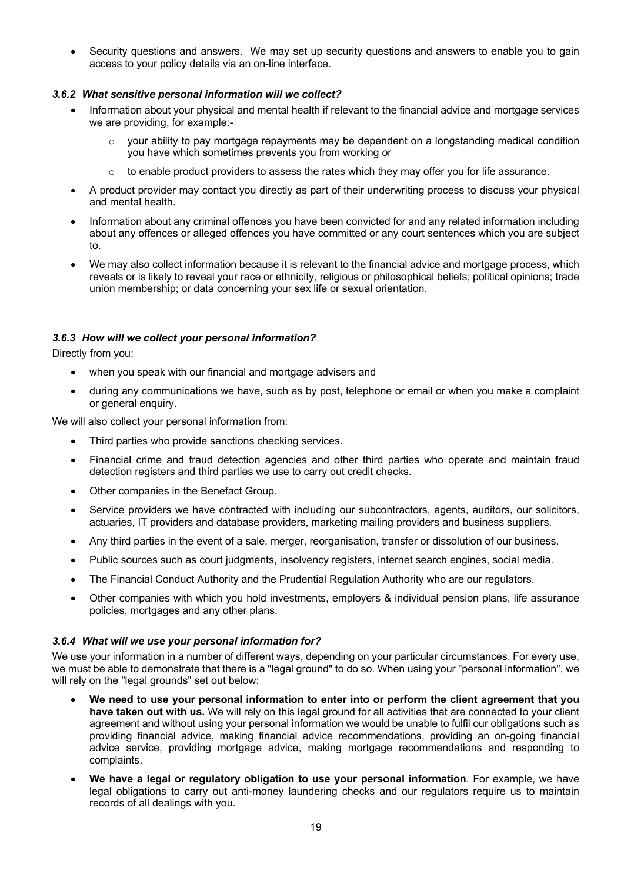Security questions and answers. We may set up security questions and answers to enable you to gain access to your policy details via an on-line interface.

## *3.6.2 What sensitive personal information will we collect?*

- Information about your physical and mental health if relevant to the financial advice and mortgage services we are providing, for example:
	- your ability to pay mortgage repayments may be dependent on a longstanding medical condition you have which sometimes prevents you from working or
	- $\circ$  to enable product providers to assess the rates which they may offer you for life assurance.
- A product provider may contact you directly as part of their underwriting process to discuss your physical and mental health.
- Information about any criminal offences you have been convicted for and any related information including about any offences or alleged offences you have committed or any court sentences which you are subject to.
- We may also collect information because it is relevant to the financial advice and mortgage process, which reveals or is likely to reveal your race or ethnicity, religious or philosophical beliefs; political opinions; trade union membership; or data concerning your sex life or sexual orientation.

## *3.6.3 How will we collect your personal information?*

Directly from you:

- when you speak with our financial and mortgage advisers and
- during any communications we have, such as by post, telephone or email or when you make a complaint or general enquiry.

We will also collect your personal information from:

- Third parties who provide sanctions checking services.
- Financial crime and fraud detection agencies and other third parties who operate and maintain fraud detection registers and third parties we use to carry out credit checks.
- Other companies in the Benefact Group.
- Service providers we have contracted with including our subcontractors, agents, auditors, our solicitors, actuaries, IT providers and database providers, marketing mailing providers and business suppliers.
- Any third parties in the event of a sale, merger, reorganisation, transfer or dissolution of our business.
- Public sources such as court judgments, insolvency registers, internet search engines, social media.
- The Financial Conduct Authority and the Prudential Regulation Authority who are our regulators.
- Other companies with which you hold investments, employers & individual pension plans, life assurance policies, mortgages and any other plans.

#### *3.6.4 What will we use your personal information for?*

We use your information in a number of different ways, depending on your particular circumstances. For every use, we must be able to demonstrate that there is a "legal ground" to do so. When using your "personal information", we will rely on the "legal grounds" set out below:

- **We need to use your personal information to enter into or perform the client agreement that you have taken out with us.** We will rely on this legal ground for all activities that are connected to your client agreement and without using your personal information we would be unable to fulfil our obligations such as providing financial advice, making financial advice recommendations, providing an on-going financial advice service, providing mortgage advice, making mortgage recommendations and responding to complaints.
- **We have a legal or regulatory obligation to use your personal information**. For example, we have legal obligations to carry out anti-money laundering checks and our regulators require us to maintain records of all dealings with you.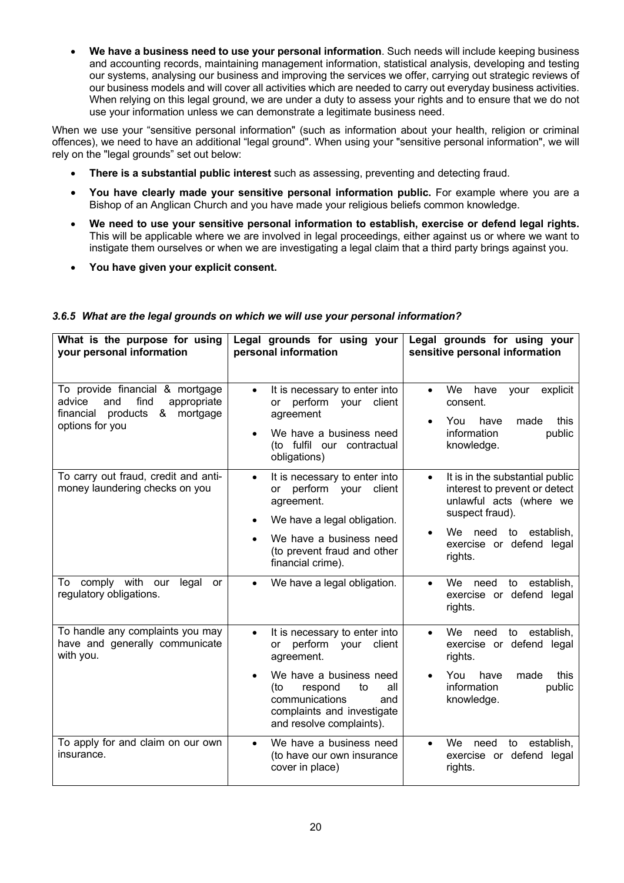• **We have a business need to use your personal information**. Such needs will include keeping business and accounting records, maintaining management information, statistical analysis, developing and testing our systems, analysing our business and improving the services we offer, carrying out strategic reviews of our business models and will cover all activities which are needed to carry out everyday business activities. When relying on this legal ground, we are under a duty to assess your rights and to ensure that we do not use your information unless we can demonstrate a legitimate business need.

When we use your "sensitive personal information" (such as information about your health, religion or criminal offences), we need to have an additional "legal ground". When using your "sensitive personal information", we will rely on the "legal grounds" set out below:

- **There is a substantial public interest** such as assessing, preventing and detecting fraud.
- **You have clearly made your sensitive personal information public.** For example where you are a Bishop of an Anglican Church and you have made your religious beliefs common knowledge.
- **We need to use your sensitive personal information to establish, exercise or defend legal rights.** This will be applicable where we are involved in legal proceedings, either against us or where we want to instigate them ourselves or when we are investigating a legal claim that a third party brings against you.
- **You have given your explicit consent.**

| What is the purpose for using<br>your personal information                                                                                | Legal grounds for using your<br>personal information                                                                                                                                                                                            | Legal grounds for using your<br>sensitive personal information                                                                                                                                                                                                    |
|-------------------------------------------------------------------------------------------------------------------------------------------|-------------------------------------------------------------------------------------------------------------------------------------------------------------------------------------------------------------------------------------------------|-------------------------------------------------------------------------------------------------------------------------------------------------------------------------------------------------------------------------------------------------------------------|
| To provide financial & mortgage<br>find<br>appropriate<br>advice<br>and<br>financial products<br>&<br>mortgage<br>options for you         | It is necessary to enter into<br>$\bullet$<br>or perform your client<br>agreement<br>We have a business need<br>(to fulfil our contractual<br>obligations)                                                                                      | We have<br>your<br>explicit<br>$\bullet$<br>consent.<br>this<br>You<br>have<br>made<br>information<br>public<br>knowledge.                                                                                                                                        |
| To carry out fraud, credit and anti-<br>money laundering checks on you<br>comply with our<br>To<br>legal<br>or<br>regulatory obligations. | It is necessary to enter into<br>$\bullet$<br>perform your<br>client<br>or<br>agreement.<br>We have a legal obligation.<br>We have a business need<br>(to prevent fraud and other<br>financial crime).<br>We have a legal obligation.           | It is in the substantial public<br>$\bullet$<br>interest to prevent or detect<br>unlawful acts (where we<br>suspect fraud).<br>We need to establish,<br>exercise or defend legal<br>rights.<br>We<br>to establish,<br>need<br>exercise or defend legal<br>rights. |
| To handle any complaints you may<br>have and generally communicate<br>with you.                                                           | It is necessary to enter into<br>$\bullet$<br>perform<br>client<br><b>or</b><br>your<br>agreement.<br>We have a business need<br>(to<br>respond<br>to<br>all<br>communications<br>and<br>complaints and investigate<br>and resolve complaints). | We<br>establish,<br>need<br>to<br>$\bullet$<br>exercise or defend legal<br>rights.<br>You<br>have<br>made<br>this<br>information<br>public<br>knowledge.                                                                                                          |
| To apply for and claim on our own<br>insurance.                                                                                           | We have a business need<br>$\bullet$<br>(to have our own insurance<br>cover in place)                                                                                                                                                           | We<br>establish,<br>need<br>to<br>$\bullet$<br>exercise or defend legal<br>rights.                                                                                                                                                                                |

## *3.6.5 What are the legal grounds on which we will use your personal information?*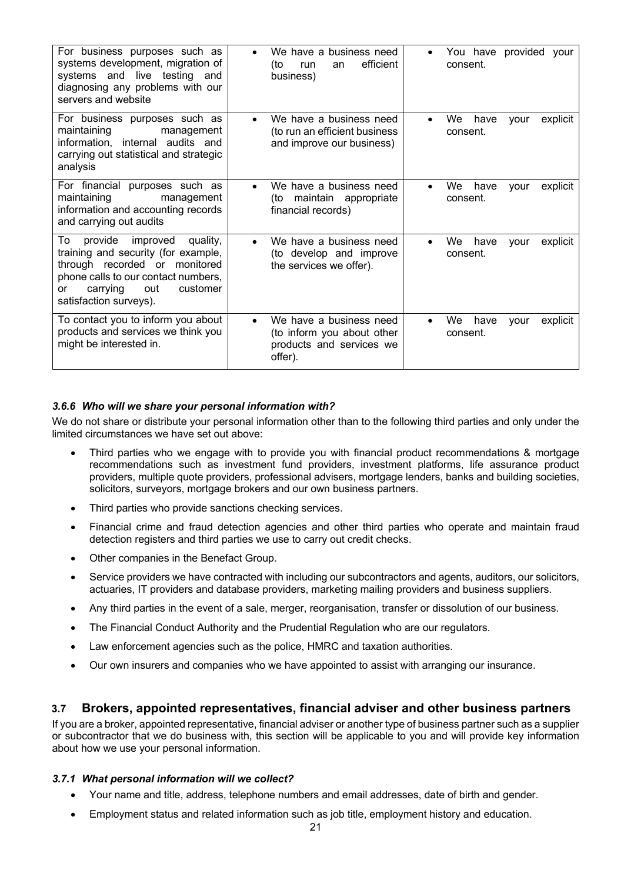| For business purposes such as<br>systems development, migration of<br>systems and live testing and<br>diagnosing any problems with our<br>servers and website                                                       | We have a business need<br>$\bullet$<br>efficient<br>(to<br>run<br>an<br>business)                        | You have provided your<br>consent.                      |
|---------------------------------------------------------------------------------------------------------------------------------------------------------------------------------------------------------------------|-----------------------------------------------------------------------------------------------------------|---------------------------------------------------------|
| For business purposes such as<br>maintaining<br>management<br>information, internal audits and<br>carrying out statistical and strategic<br>analysis                                                                | We have a business need<br>$\bullet$<br>(to run an efficient business<br>and improve our business)        | We<br>have<br>explicit<br>vour<br>$\bullet$<br>consent. |
| For financial purposes such as<br>maintaining<br>management<br>information and accounting records<br>and carrying out audits                                                                                        | We have a business need<br>$\bullet$<br>maintain appropriate<br>(to<br>financial records)                 | We<br>have<br>explicit<br>vour<br>$\bullet$<br>consent. |
| То<br>improved<br>provide<br>quality,<br>training and security (for example,<br>through recorded or monitored<br>phone calls to our contact numbers,<br>carrying<br>out<br>customer<br>or<br>satisfaction surveys). | We have a business need<br>$\bullet$<br>(to develop and improve<br>the services we offer).                | We<br>have<br>explicit<br>vour<br>$\bullet$<br>consent. |
| To contact you to inform you about<br>products and services we think you<br>might be interested in.                                                                                                                 | We have a business need<br>$\bullet$<br>(to inform you about other<br>products and services we<br>offer). | We<br>have<br>explicit<br>vour<br>consent.              |

# *3.6.6 Who will we share your personal information with?*

We do not share or distribute your personal information other than to the following third parties and only under the limited circumstances we have set out above:

- Third parties who we engage with to provide you with financial product recommendations & mortgage recommendations such as investment fund providers, investment platforms, life assurance product providers, multiple quote providers, professional advisers, mortgage lenders, banks and building societies, solicitors, surveyors, mortgage brokers and our own business partners.
- Third parties who provide sanctions checking services.
- Financial crime and fraud detection agencies and other third parties who operate and maintain fraud detection registers and third parties we use to carry out credit checks.
- Other companies in the Benefact Group.
- Service providers we have contracted with including our subcontractors and agents, auditors, our solicitors, actuaries, IT providers and database providers, marketing mailing providers and business suppliers.
- Any third parties in the event of a sale, merger, reorganisation, transfer or dissolution of our business.
- The Financial Conduct Authority and the Prudential Regulation who are our regulators.
- Law enforcement agencies such as the police, HMRC and taxation authorities.
- Our own insurers and companies who we have appointed to assist with arranging our insurance.

# **3.7 Brokers, appointed representatives, financial adviser and other business partners**

If you are a broker, appointed representative, financial adviser or another type of business partner such as a supplier or subcontractor that we do business with, this section will be applicable to you and will provide key information about how we use your personal information.

#### *3.7.1 What personal information will we collect?*

- Your name and title, address, telephone numbers and email addresses, date of birth and gender.
- Employment status and related information such as job title, employment history and education.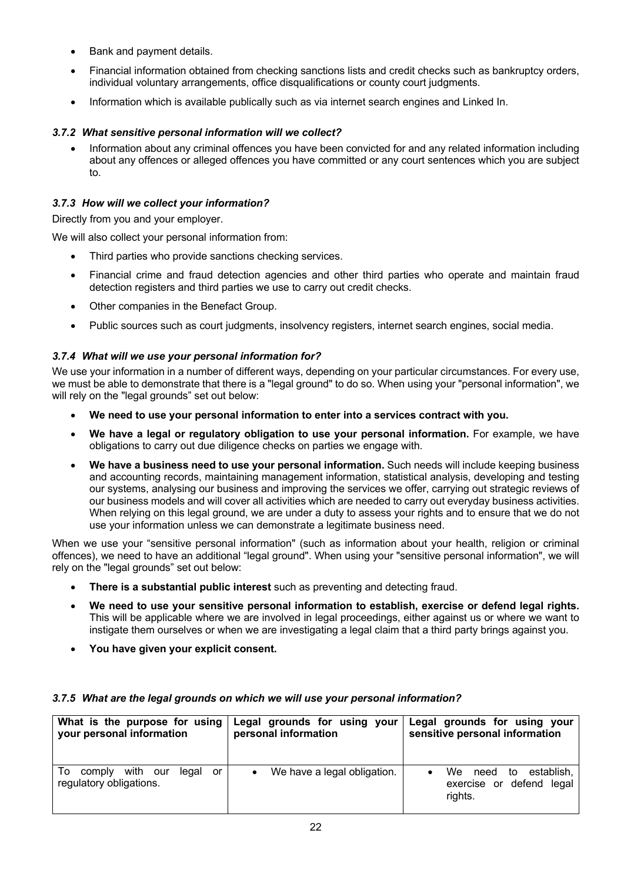- Bank and payment details.
- Financial information obtained from checking sanctions lists and credit checks such as bankruptcy orders, individual voluntary arrangements, office disqualifications or county court judgments.
- Information which is available publically such as via internet search engines and Linked In.

# *3.7.2 What sensitive personal information will we collect?*

• Information about any criminal offences you have been convicted for and any related information including about any offences or alleged offences you have committed or any court sentences which you are subject to.

# *3.7.3 How will we collect your information?*

Directly from you and your employer.

We will also collect your personal information from:

- Third parties who provide sanctions checking services.
- Financial crime and fraud detection agencies and other third parties who operate and maintain fraud detection registers and third parties we use to carry out credit checks.
- Other companies in the Benefact Group.
- Public sources such as court judgments, insolvency registers, internet search engines, social media.

# *3.7.4 What will we use your personal information for?*

We use your information in a number of different ways, depending on your particular circumstances. For every use, we must be able to demonstrate that there is a "legal ground" to do so. When using your "personal information", we will rely on the "legal grounds" set out below:

- **We need to use your personal information to enter into a services contract with you.**
- **We have a legal or regulatory obligation to use your personal information.** For example, we have obligations to carry out due diligence checks on parties we engage with.
- **We have a business need to use your personal information.** Such needs will include keeping business and accounting records, maintaining management information, statistical analysis, developing and testing our systems, analysing our business and improving the services we offer, carrying out strategic reviews of our business models and will cover all activities which are needed to carry out everyday business activities. When relying on this legal ground, we are under a duty to assess your rights and to ensure that we do not use your information unless we can demonstrate a legitimate business need.

When we use your "sensitive personal information" (such as information about your health, religion or criminal offences), we need to have an additional "legal ground". When using your "sensitive personal information", we will rely on the "legal grounds" set out below:

- **There is a substantial public interest** such as preventing and detecting fraud.
- **We need to use your sensitive personal information to establish, exercise or defend legal rights.** This will be applicable where we are involved in legal proceedings, either against us or where we want to instigate them ourselves or when we are investigating a legal claim that a third party brings against you.
- **You have given your explicit consent.**

| What is the purpose for using                                      | Legal grounds for using your     | Legal grounds for using your                                            |
|--------------------------------------------------------------------|----------------------------------|-------------------------------------------------------------------------|
| your personal information                                          | personal information             | sensitive personal information                                          |
| with our<br>To<br>legal<br>comply<br>or<br>regulatory obligations. | We have a legal obligation.<br>٠ | establish,<br>We .<br>to<br>need<br>exercise or defend legal<br>rights. |

## *3.7.5 What are the legal grounds on which we will use your personal information?*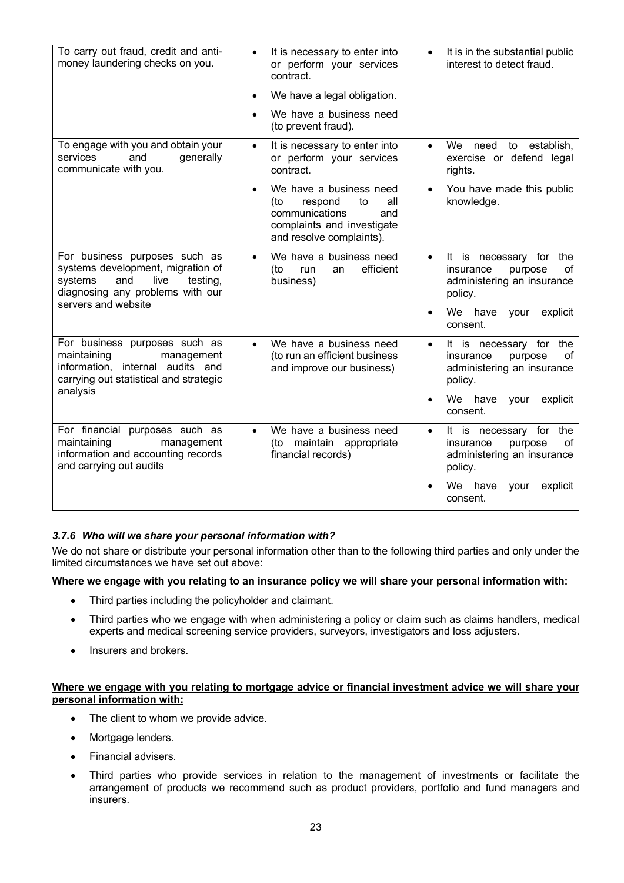| To carry out fraud, credit and anti-<br>money laundering checks on you.                                                                                             | It is necessary to enter into<br>$\bullet$<br>or perform your services<br>contract.<br>We have a legal obligation.<br>We have a business need<br>(to prevent fraud). | It is in the substantial public<br>interest to detect fraud.                                                                                        |
|---------------------------------------------------------------------------------------------------------------------------------------------------------------------|----------------------------------------------------------------------------------------------------------------------------------------------------------------------|-----------------------------------------------------------------------------------------------------------------------------------------------------|
| To engage with you and obtain your<br>services<br>and<br>generally<br>communicate with you.                                                                         | It is necessary to enter into<br>$\bullet$<br>or perform your services<br>contract.                                                                                  | We<br>establish,<br>need<br>to<br>exercise or defend legal<br>rights.                                                                               |
|                                                                                                                                                                     | We have a business need<br>respond<br>to<br>(to<br>all<br>communications<br>and<br>complaints and investigate<br>and resolve complaints).                            | You have made this public<br>knowledge.                                                                                                             |
| For business purposes such as<br>systems development, migration of<br>systems<br>and<br>live<br>testing,<br>diagnosing any problems with our<br>servers and website | We have a business need<br>$\bullet$<br>efficient<br>(to<br>run<br>an<br>business)                                                                                   | It is<br>for<br>the<br>necessary<br>$\bullet$<br>οf<br>insurance<br>purpose<br>administering an insurance<br>policy.<br>We have<br>your<br>explicit |
|                                                                                                                                                                     |                                                                                                                                                                      | consent.                                                                                                                                            |
| For business purposes such as<br>maintaining<br>management<br>information, internal audits and<br>carrying out statistical and strategic<br>analysis                | We have a business need<br>$\bullet$<br>(to run an efficient business<br>and improve our business)                                                                   | It is necessary for the<br>$\bullet$<br>οf<br>purpose<br>insurance<br>administering an insurance<br>policy.<br>We have<br>explicit<br>your          |
|                                                                                                                                                                     |                                                                                                                                                                      | consent.                                                                                                                                            |
| For financial purposes such as<br>maintaining<br>management<br>information and accounting records<br>and carrying out audits                                        | We have a business need<br>$\bullet$<br>(to maintain appropriate<br>financial records)                                                                               | It is<br>the<br>necessary for<br>$\bullet$<br>οf<br>insurance<br>purpose<br>administering an insurance<br>policy.                                   |
|                                                                                                                                                                     |                                                                                                                                                                      | We l<br>have<br>explicit<br>your<br>consent.                                                                                                        |

# *3.7.6 Who will we share your personal information with?*

We do not share or distribute your personal information other than to the following third parties and only under the limited circumstances we have set out above:

## **Where we engage with you relating to an insurance policy we will share your personal information with:**

- Third parties including the policyholder and claimant.
- Third parties who we engage with when administering a policy or claim such as claims handlers, medical experts and medical screening service providers, surveyors, investigators and loss adjusters.
- Insurers and brokers.

### **Where we engage with you relating to mortgage advice or financial investment advice we will share your personal information with:**

- The client to whom we provide advice.
- Mortgage lenders.
- Financial advisers.
- Third parties who provide services in relation to the management of investments or facilitate the arrangement of products we recommend such as product providers, portfolio and fund managers and insurers.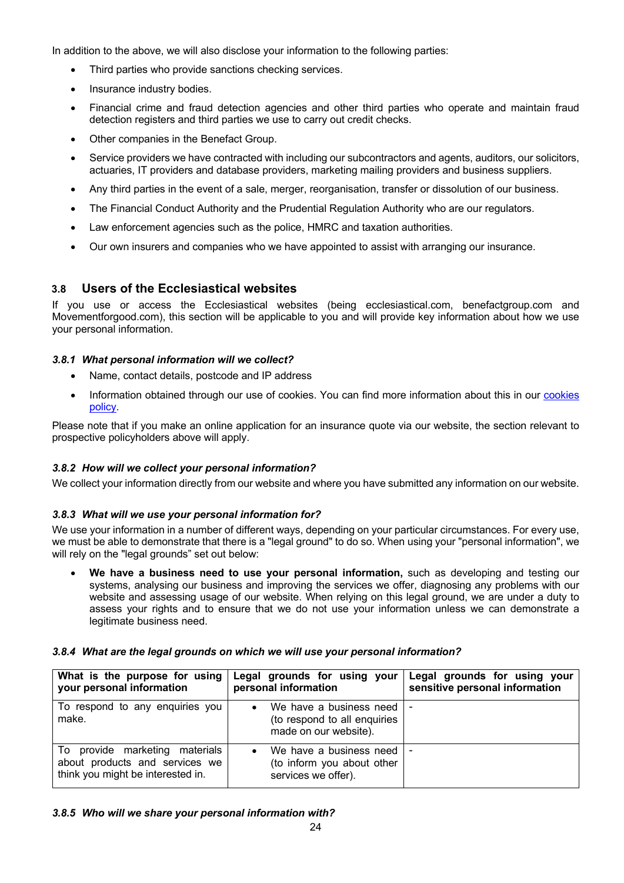In addition to the above, we will also disclose your information to the following parties:

- Third parties who provide sanctions checking services.
- Insurance industry bodies.
- Financial crime and fraud detection agencies and other third parties who operate and maintain fraud detection registers and third parties we use to carry out credit checks.
- Other companies in the Benefact Group.
- Service providers we have contracted with including our subcontractors and agents, auditors, our solicitors, actuaries, IT providers and database providers, marketing mailing providers and business suppliers.
- Any third parties in the event of a sale, merger, reorganisation, transfer or dissolution of our business.
- The Financial Conduct Authority and the Prudential Regulation Authority who are our regulators.
- Law enforcement agencies such as the police, HMRC and taxation authorities.
- Our own insurers and companies who we have appointed to assist with arranging our insurance.

# **3.8 Users of the Ecclesiastical websites**

If you use or access the Ecclesiastical websites (being ecclesiastical.com, benefactgroup.com and Movementforgood.com), this section will be applicable to you and will provide key information about how we use your personal information.

## *3.8.1 What personal information will we collect?*

- Name, contact details, postcode and IP address
- Information obtained through our use of cookies. You can find more information about this in our cookies [policy.](https://benefactgroup.com/cookie-policy/)

Please note that if you make an online application for an insurance quote via our website, the section relevant to prospective policyholders above will apply.

## *3.8.2 How will we collect your personal information?*

We collect your information directly from our website and where you have submitted any information on our website.

## *3.8.3 What will we use your personal information for?*

We use your information in a number of different ways, depending on your particular circumstances. For every use, we must be able to demonstrate that there is a "legal ground" to do so. When using your "personal information", we will rely on the "legal grounds" set out below:

• **We have a business need to use your personal information,** such as developing and testing our systems, analysing our business and improving the services we offer, diagnosing any problems with our website and assessing usage of our website. When relying on this legal ground, we are under a duty to assess your rights and to ensure that we do not use your information unless we can demonstrate a legitimate business need.

## *3.8.4 What are the legal grounds on which we will use your personal information?*

| What is the purpose for using<br>your personal information                                            | Legal grounds for using your<br>personal information                                              | Legal grounds for using your<br>sensitive personal information |
|-------------------------------------------------------------------------------------------------------|---------------------------------------------------------------------------------------------------|----------------------------------------------------------------|
| To respond to any enquiries you<br>make.                                                              | We have a business need I -<br>$\bullet$<br>(to respond to all enquiries<br>made on our website). |                                                                |
| To provide marketing materials<br>about products and services we<br>think you might be interested in. | We have a business need I -<br>$\bullet$<br>(to inform you about other<br>services we offer).     |                                                                |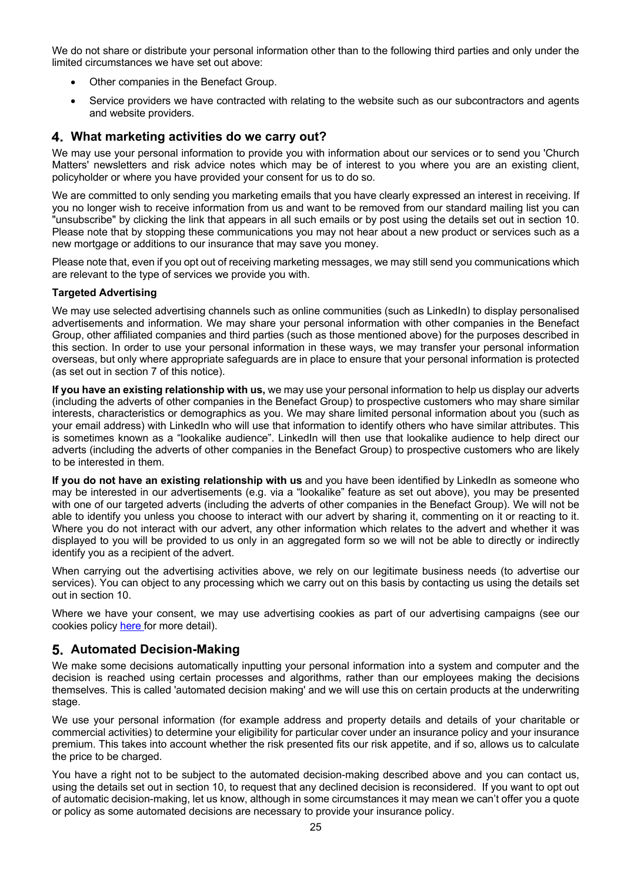We do not share or distribute your personal information other than to the following third parties and only under the limited circumstances we have set out above:

- Other companies in the Benefact Group.
- Service providers we have contracted with relating to the website such as our subcontractors and agents and website providers.

# **What marketing activities do we carry out?**

We may use your personal information to provide you with information about our services or to send you 'Church Matters' newsletters and risk advice notes which may be of interest to you where you are an existing client, policyholder or where you have provided your consent for us to do so.

We are committed to only sending you marketing emails that you have clearly expressed an interest in receiving. If you no longer wish to receive information from us and want to be removed from our standard mailing list you can "unsubscribe" by clicking the link that appears in all such emails or by post using the details set out in section 10. Please note that by stopping these communications you may not hear about a new product or services such as a new mortgage or additions to our insurance that may save you money.

Please note that, even if you opt out of receiving marketing messages, we may still send you communications which are relevant to the type of services we provide you with.

## **Targeted Advertising**

We may use selected advertising channels such as online communities (such as LinkedIn) to display personalised advertisements and information. We may share your personal information with other companies in the Benefact Group, other affiliated companies and third parties (such as those mentioned above) for the purposes described in this section. In order to use your personal information in these ways, we may transfer your personal information overseas, but only where appropriate safeguards are in place to ensure that your personal information is protected (as set out in section 7 of this notice).

**If you have an existing relationship with us,** we may use your personal information to help us display our adverts (including the adverts of other companies in the Benefact Group) to prospective customers who may share similar interests, characteristics or demographics as you. We may share limited personal information about you (such as your email address) with LinkedIn who will use that information to identify others who have similar attributes. This is sometimes known as a "lookalike audience". LinkedIn will then use that lookalike audience to help direct our adverts (including the adverts of other companies in the Benefact Group) to prospective customers who are likely to be interested in them.

**If you do not have an existing relationship with us** and you have been identified by LinkedIn as someone who may be interested in our advertisements (e.g. via a "lookalike" feature as set out above), you may be presented with one of our targeted adverts (including the adverts of other companies in the Benefact Group). We will not be able to identify you unless you choose to interact with our advert by sharing it, commenting on it or reacting to it. Where you do not interact with our advert, any other information which relates to the advert and whether it was displayed to you will be provided to us only in an aggregated form so we will not be able to directly or indirectly identify you as a recipient of the advert.

When carrying out the advertising activities above, we rely on our legitimate business needs (to advertise our services). You can object to any processing which we carry out on this basis by contacting us using the details set out in section 10.

Where we have your consent, we may use advertising cookies as part of our advertising campaigns (see our cookies pol[icy here](https://benefactgroup.com/cookie-policy/) for more detail).

# **Automated Decision-Making**

We make some decisions automatically inputting your personal information into a system and computer and the decision is reached using certain processes and algorithms, rather than our employees making the decisions themselves. This is called 'automated decision making' and we will use this on certain products at the underwriting stage.

We use your personal information (for example address and property details and details of your charitable or commercial activities) to determine your eligibility for particular cover under an insurance policy and your insurance premium. This takes into account whether the risk presented fits our risk appetite, and if so, allows us to calculate the price to be charged.

You have a right not to be subject to the automated decision-making described above and you can contact us, using the details set out in section 10, to request that any declined decision is reconsidered. If you want to opt out of automatic decision-making, let us know, although in some circumstances it may mean we can't offer you a quote or policy as some automated decisions are necessary to provide your insurance policy.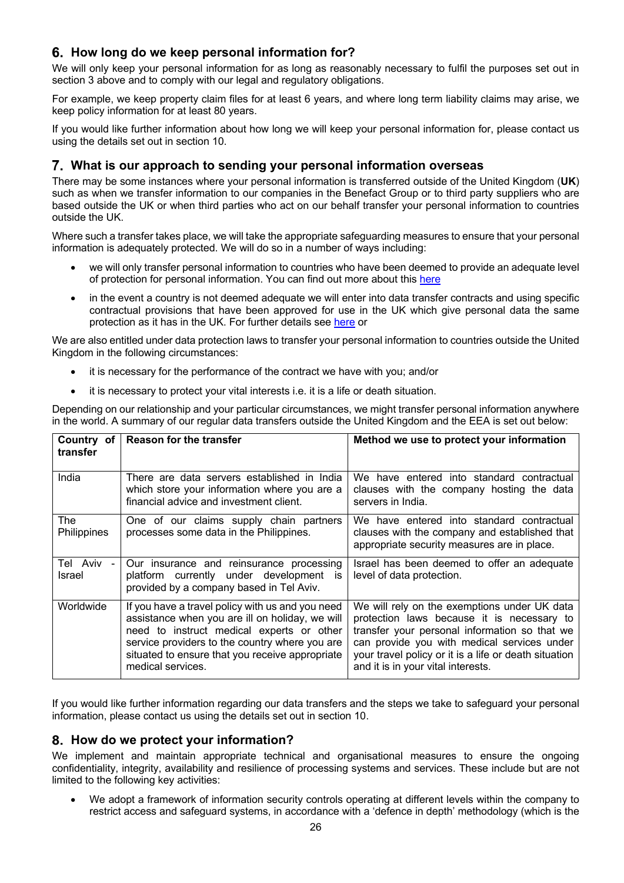# **How long do we keep personal information for?**

We will only keep your personal information for as long as reasonably necessary to fulfil the purposes set out in section 3 above and to comply with our legal and regulatory obligations.

For example, we keep property claim files for at least 6 years, and where long term liability claims may arise, we keep policy information for at least 80 years.

If you would like further information about how long we will keep your personal information for, please contact us using the details set out in section 10.

# **What is our approach to sending your personal information overseas**

There may be some instances where your personal information is transferred outside of the United Kingdom (**UK**) such as when we transfer information to our companies in the Benefact Group or to third party suppliers who are based outside the UK or when third parties who act on our behalf transfer your personal information to countries outside the UK.

Where such a transfer takes place, we will take the appropriate safeguarding measures to ensure that your personal information is adequately protected. We will do so in a number of ways including:

- we will only transfer personal information to countries who have been deemed to provide an adequate level of protection for personal information. You can find out more about th[is here](https://ec.europa.eu/info/law/law-topic/data-protection/international-dimension-data-protection/adequacy-decisions_en)
- in the event a country is not deemed adequate we will enter into data transfer contracts and using specific contractual provisions that have been approved for use in the UK which give personal data the same protection as it has in the UK. For further details se[e here](https://ico.org.uk/for-organisations/guide-to-data-protection/guide-to-the-general-data-protection-regulation-gdpr/international-transfers-after-uk-exit/#adequacy) or

We are also entitled under data protection laws to transfer your personal information to countries outside the United Kingdom in the following circumstances:

- it is necessary for the performance of the contract we have with you; and/or
- it is necessary to protect your vital interests i.e. it is a life or death situation.

Depending on our relationship and your particular circumstances, we might transfer personal information anywhere in the world. A summary of our regular data transfers outside the United Kingdom and the EEA is set out below:

| Country of<br>transfer | <b>Reason for the transfer</b>                                                                                                                                                                                                                                             | Method we use to protect your information                                                                                                                                                                                                                                                 |
|------------------------|----------------------------------------------------------------------------------------------------------------------------------------------------------------------------------------------------------------------------------------------------------------------------|-------------------------------------------------------------------------------------------------------------------------------------------------------------------------------------------------------------------------------------------------------------------------------------------|
| India                  | There are data servers established in India<br>which store your information where you are a<br>financial advice and investment client.                                                                                                                                     | We have entered into standard contractual<br>clauses with the company hosting the data<br>servers in India.                                                                                                                                                                               |
| The<br>Philippines     | One of our claims supply chain partners<br>processes some data in the Philippines.                                                                                                                                                                                         | We have entered into standard contractual<br>clauses with the company and established that<br>appropriate security measures are in place.                                                                                                                                                 |
| Tel Aviv -<br>Israel   | Our insurance and reinsurance processing<br>platform currently under development is<br>provided by a company based in Tel Aviv.                                                                                                                                            | Israel has been deemed to offer an adequate<br>level of data protection.                                                                                                                                                                                                                  |
| Worldwide              | If you have a travel policy with us and you need<br>assistance when you are ill on holiday, we will<br>need to instruct medical experts or other<br>service providers to the country where you are<br>situated to ensure that you receive appropriate<br>medical services. | We will rely on the exemptions under UK data<br>protection laws because it is necessary to<br>transfer your personal information so that we<br>can provide you with medical services under<br>your travel policy or it is a life or death situation<br>and it is in your vital interests. |

If you would like further information regarding our data transfers and the steps we take to safeguard your personal information, please contact us using the details set out in section 10.

# **How do we protect your information?**

We implement and maintain appropriate technical and organisational measures to ensure the ongoing confidentiality, integrity, availability and resilience of processing systems and services. These include but are not limited to the following key activities:

• We adopt a framework of information security controls operating at different levels within the company to restrict access and safeguard systems, in accordance with a 'defence in depth' methodology (which is the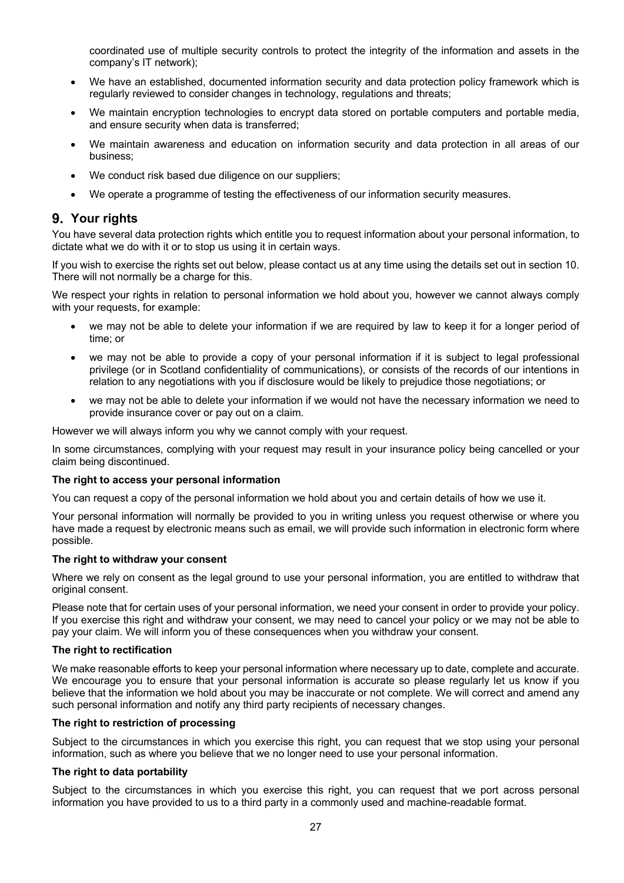coordinated use of multiple security controls to protect the integrity of the information and assets in the company's IT network);

- We have an established, documented information security and data protection policy framework which is regularly reviewed to consider changes in technology, regulations and threats;
- We maintain encryption technologies to encrypt data stored on portable computers and portable media, and ensure security when data is transferred;
- We maintain awareness and education on information security and data protection in all areas of our business;
- We conduct risk based due diligence on our suppliers;
- We operate a programme of testing the effectiveness of our information security measures.

# **Your rights**

You have several data protection rights which entitle you to request information about your personal information, to dictate what we do with it or to stop us using it in certain ways.

If you wish to exercise the rights set out below, please contact us at any time using the details set out in section 10. There will not normally be a charge for this.

We respect your rights in relation to personal information we hold about you, however we cannot always comply with your requests, for example:

- we may not be able to delete your information if we are required by law to keep it for a longer period of time; or
- we may not be able to provide a copy of your personal information if it is subject to legal professional privilege (or in Scotland confidentiality of communications), or consists of the records of our intentions in relation to any negotiations with you if disclosure would be likely to prejudice those negotiations; or
- we may not be able to delete your information if we would not have the necessary information we need to provide insurance cover or pay out on a claim.

However we will always inform you why we cannot comply with your request.

In some circumstances, complying with your request may result in your insurance policy being cancelled or your claim being discontinued.

#### **The right to access your personal information**

You can request a copy of the personal information we hold about you and certain details of how we use it.

Your personal information will normally be provided to you in writing unless you request otherwise or where you have made a request by electronic means such as email, we will provide such information in electronic form where possible.

#### **The right to withdraw your consent**

Where we rely on consent as the legal ground to use your personal information, you are entitled to withdraw that original consent.

Please note that for certain uses of your personal information, we need your consent in order to provide your policy. If you exercise this right and withdraw your consent, we may need to cancel your policy or we may not be able to pay your claim. We will inform you of these consequences when you withdraw your consent.

#### **The right to rectification**

We make reasonable efforts to keep your personal information where necessary up to date, complete and accurate. We encourage you to ensure that your personal information is accurate so please regularly let us know if you believe that the information we hold about you may be inaccurate or not complete. We will correct and amend any such personal information and notify any third party recipients of necessary changes.

#### **The right to restriction of processing**

Subject to the circumstances in which you exercise this right, you can request that we stop using your personal information, such as where you believe that we no longer need to use your personal information.

#### **The right to data portability**

Subject to the circumstances in which you exercise this right, you can request that we port across personal information you have provided to us to a third party in a commonly used and machine-readable format.